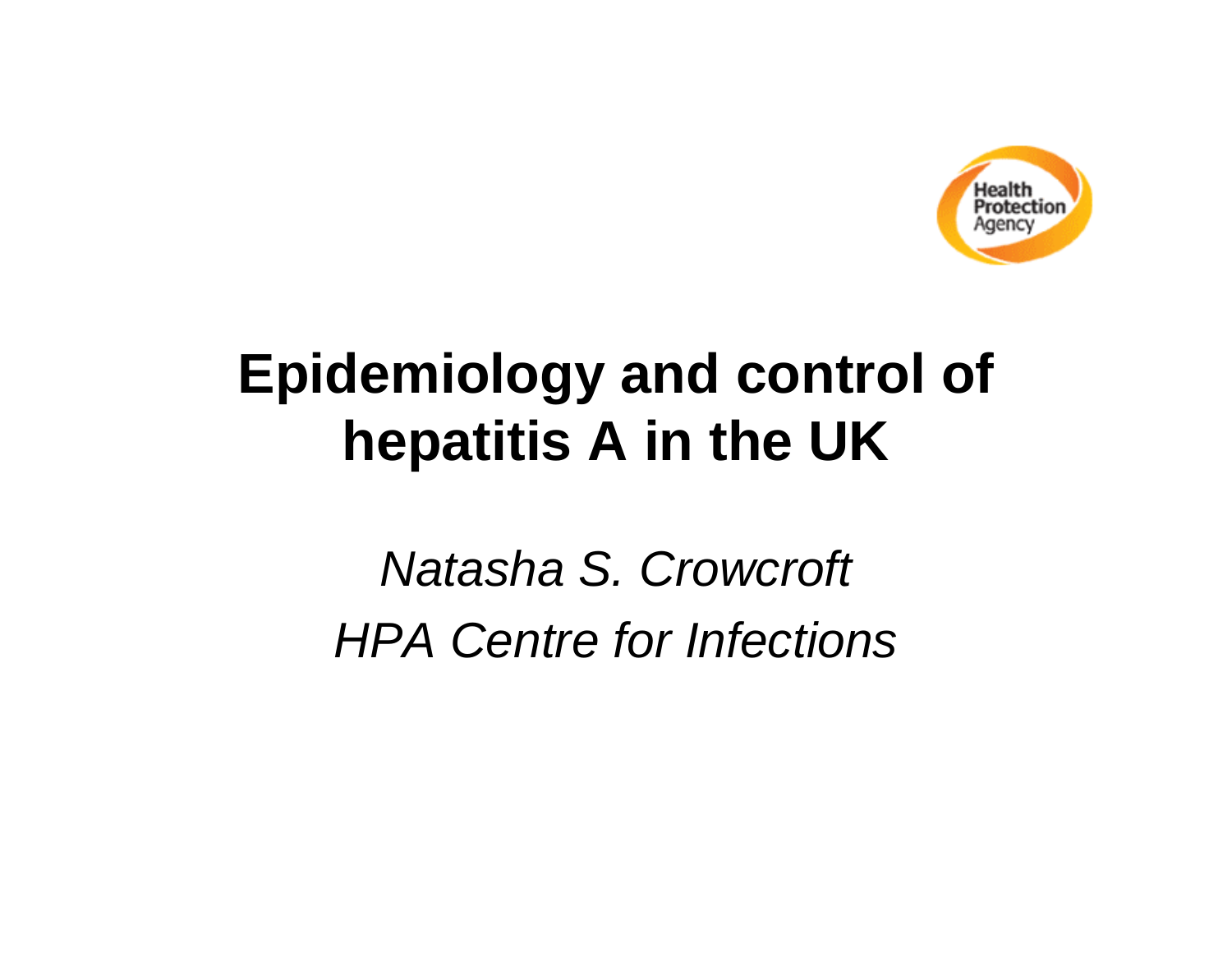

## **Epidemiology and control of hepatitis A in the UK**

*Natasha S. Crowcroft HPA Centre for Infections*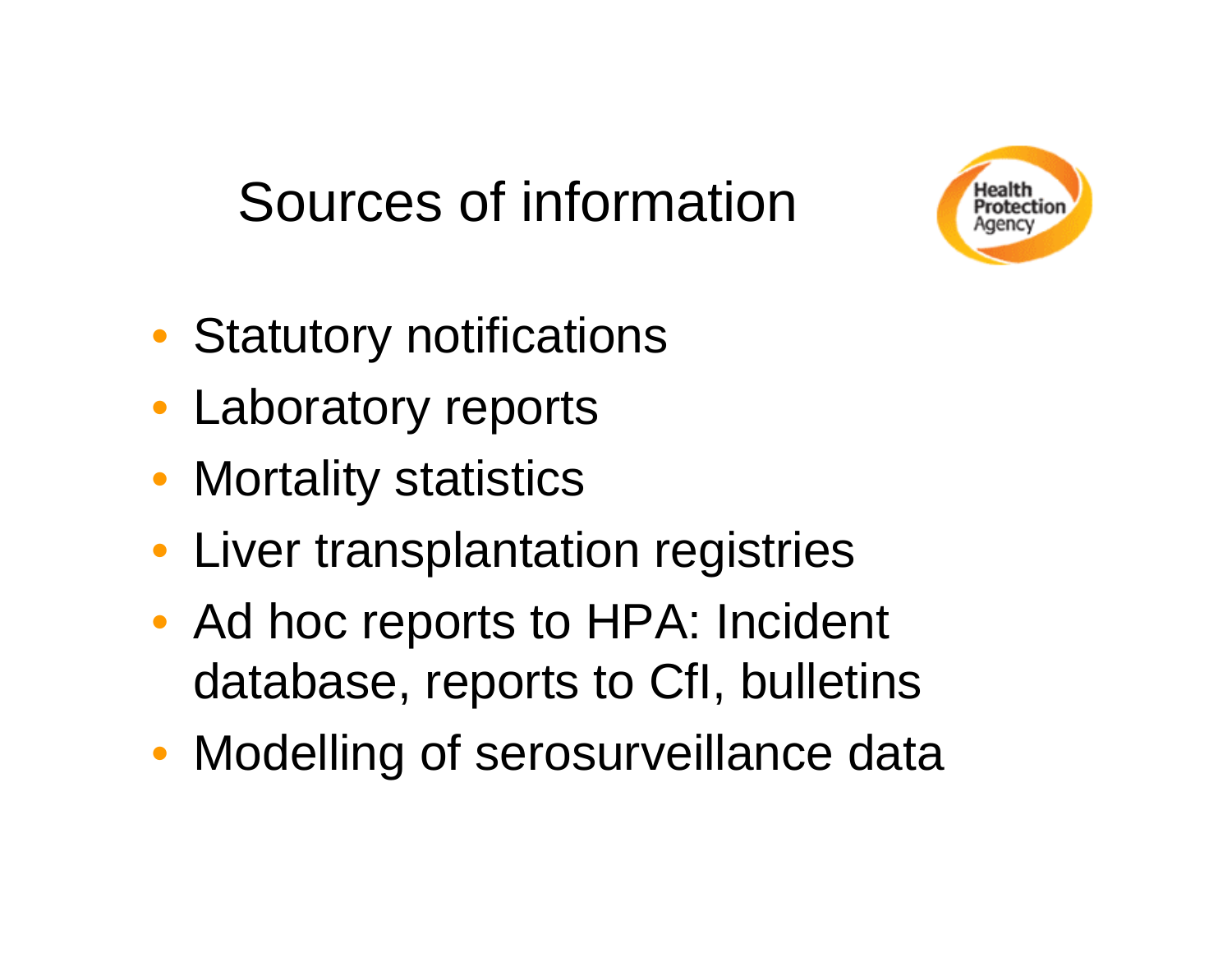## Sources of information



- Statutory notifications
- Laboratory reports
- Mortality statistics
- Liver transplantation registries
- Ad hoc reports to HPA: Incident database, reports to CfI, bulletins
- Modelling of serosurveillance data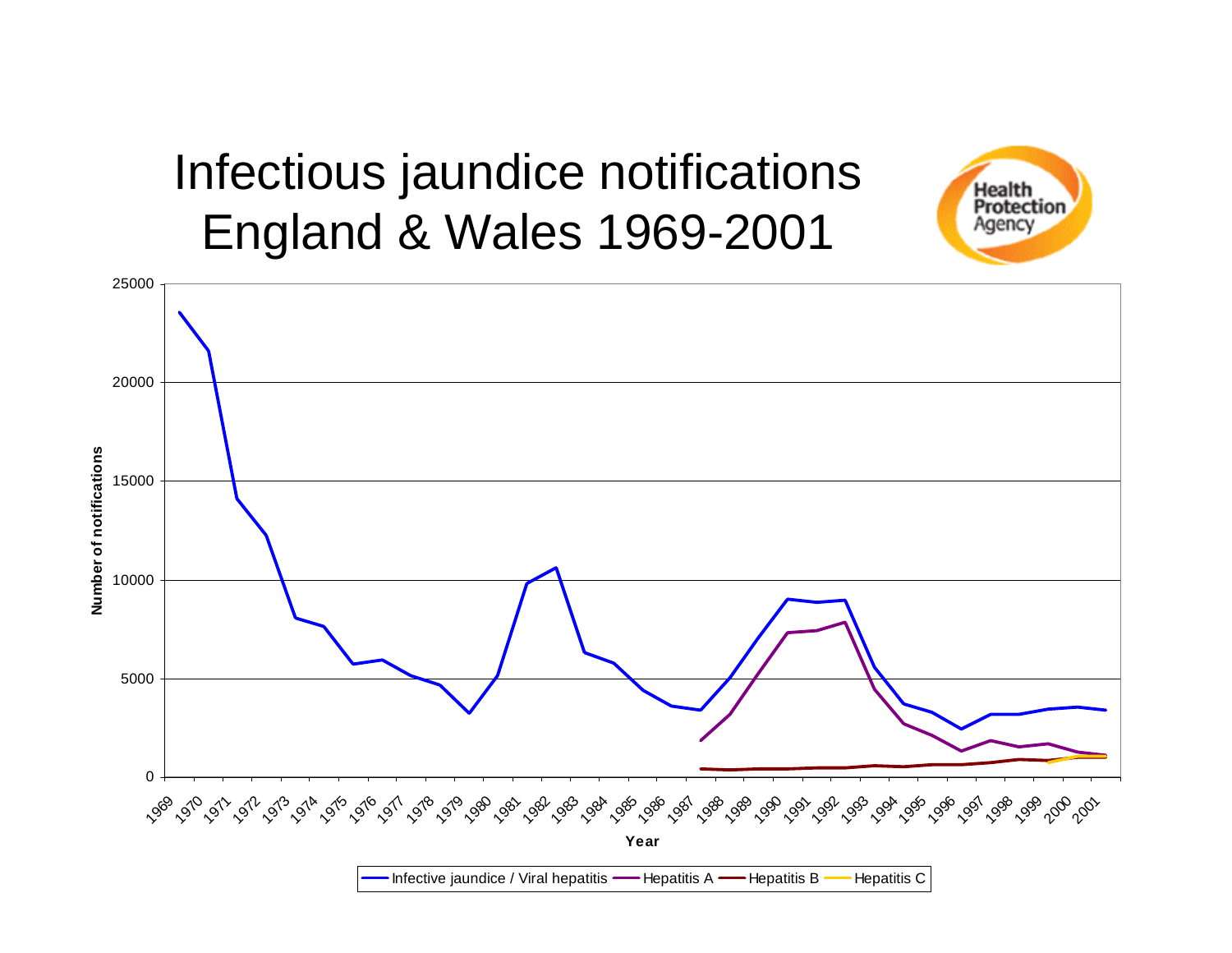#### Infectious jaundice notifications England & Wales 1969-2001



Health Protection Agency

Infective jaundice / Viral hepatitis —— Hepatitis A —— Hepatitis B Hepatitis C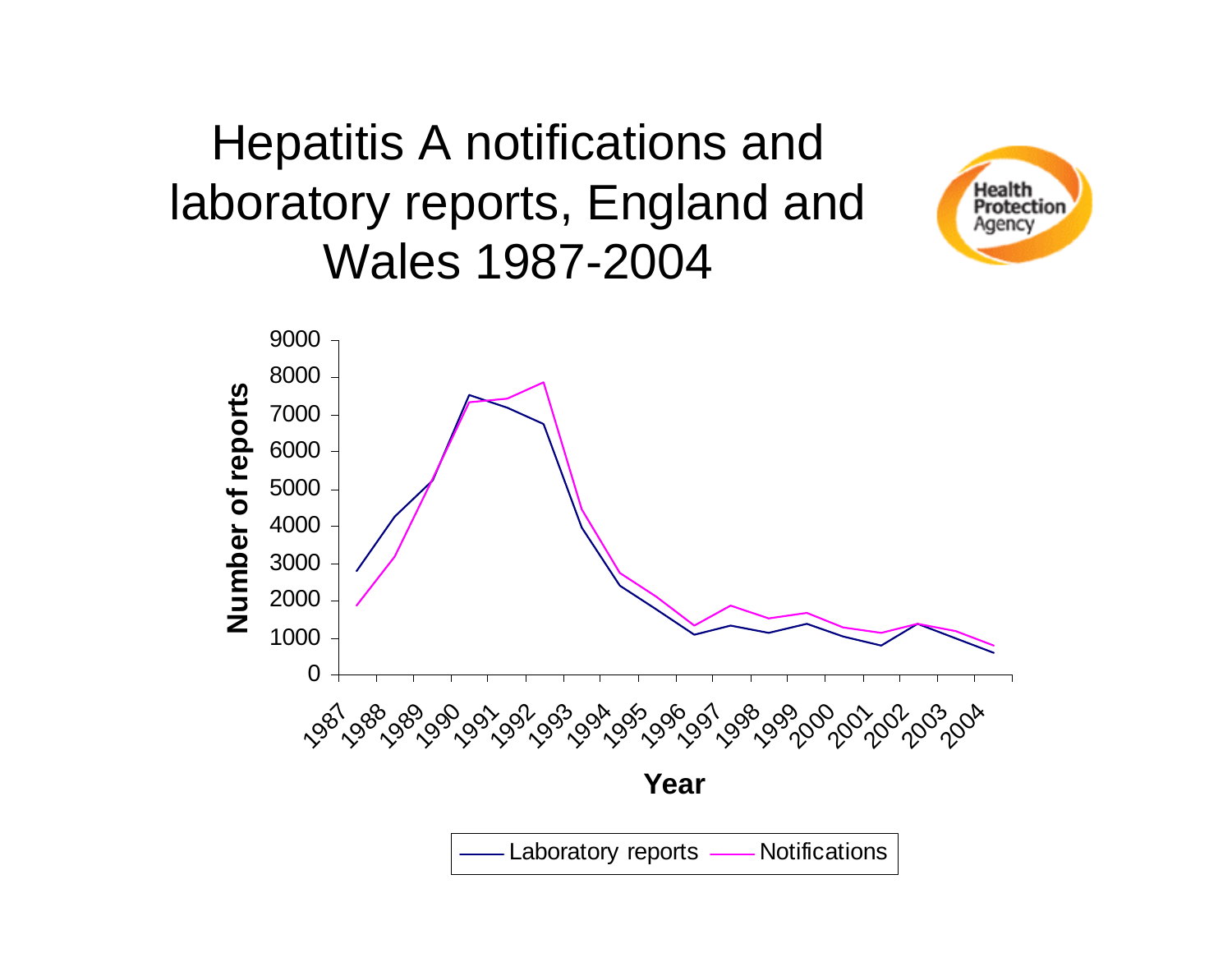#### Hepatitis A notifications and laboratory reports, England and Wales 1987-2004



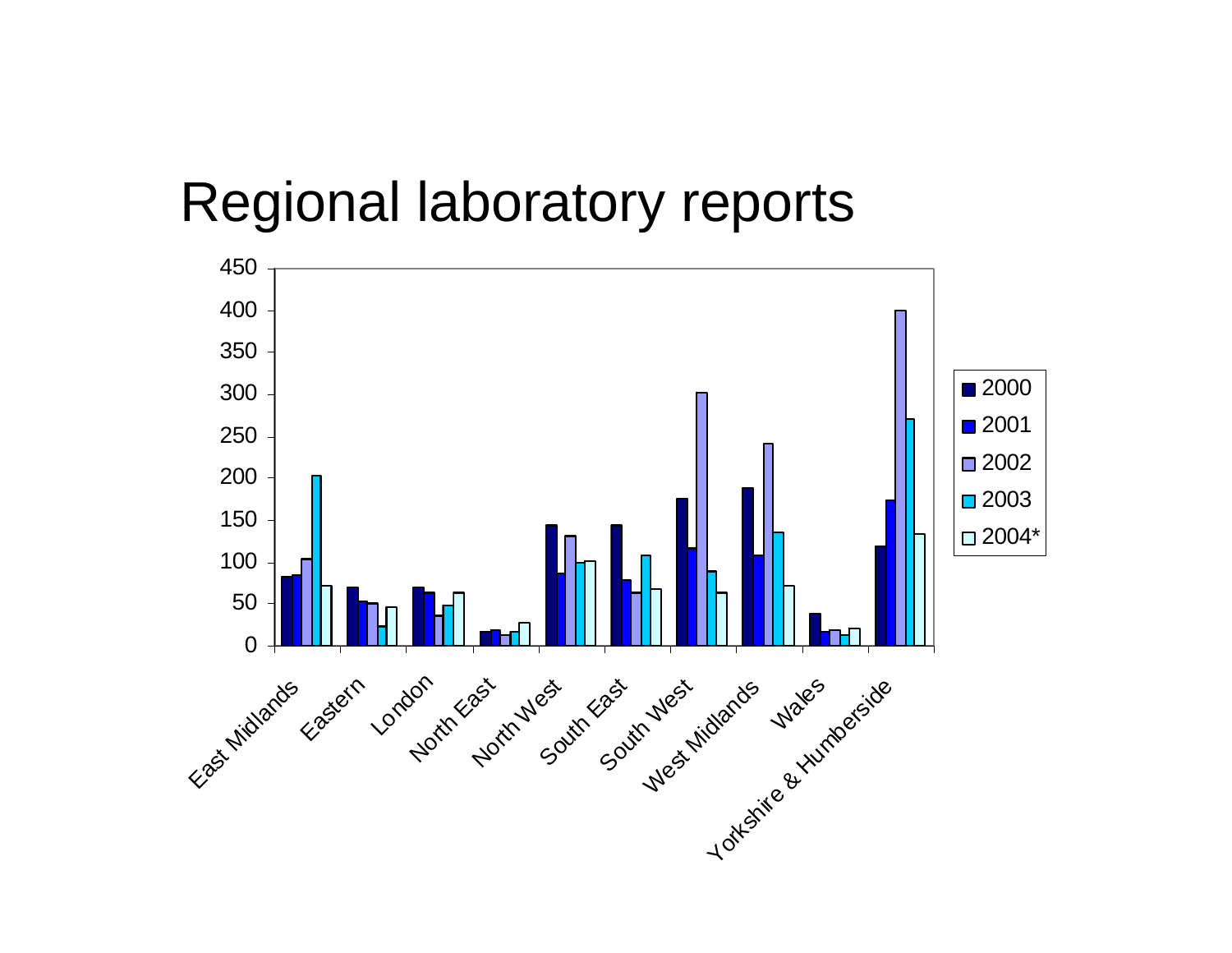#### Regional laboratory reports

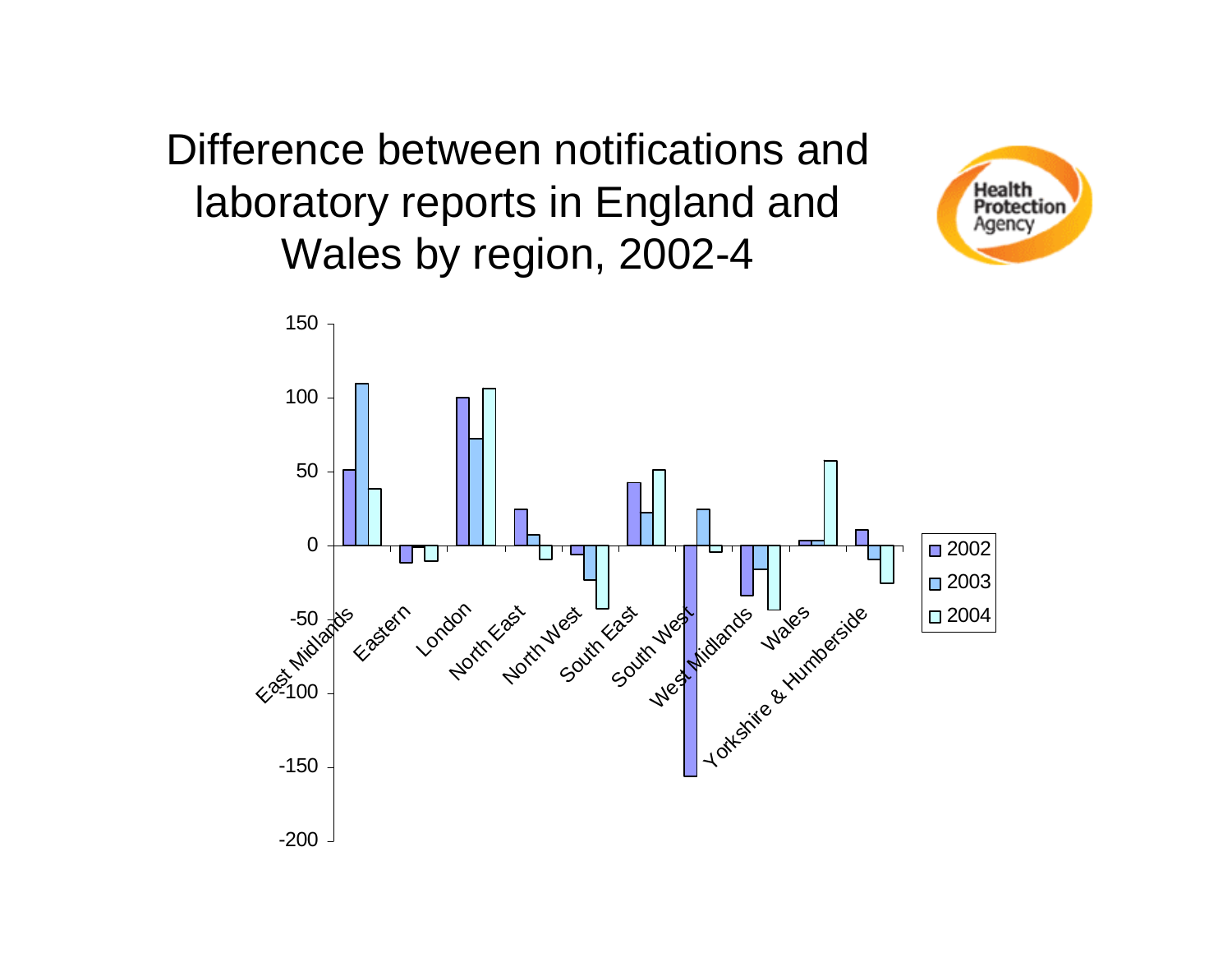Difference between notifications and laboratory reports in England and Wales by region, 2002-4



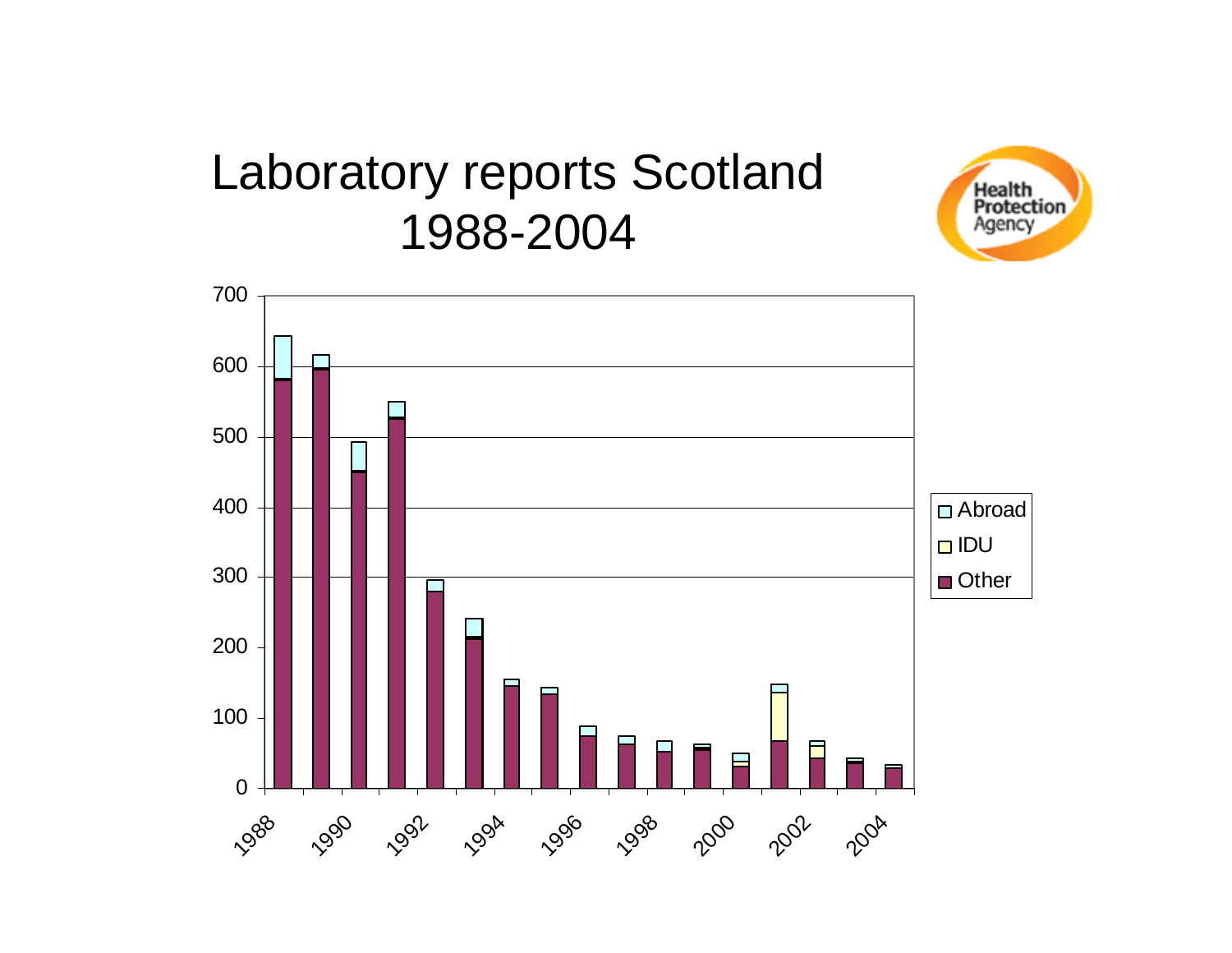#### Laboratory reports Scotland 1988-2004



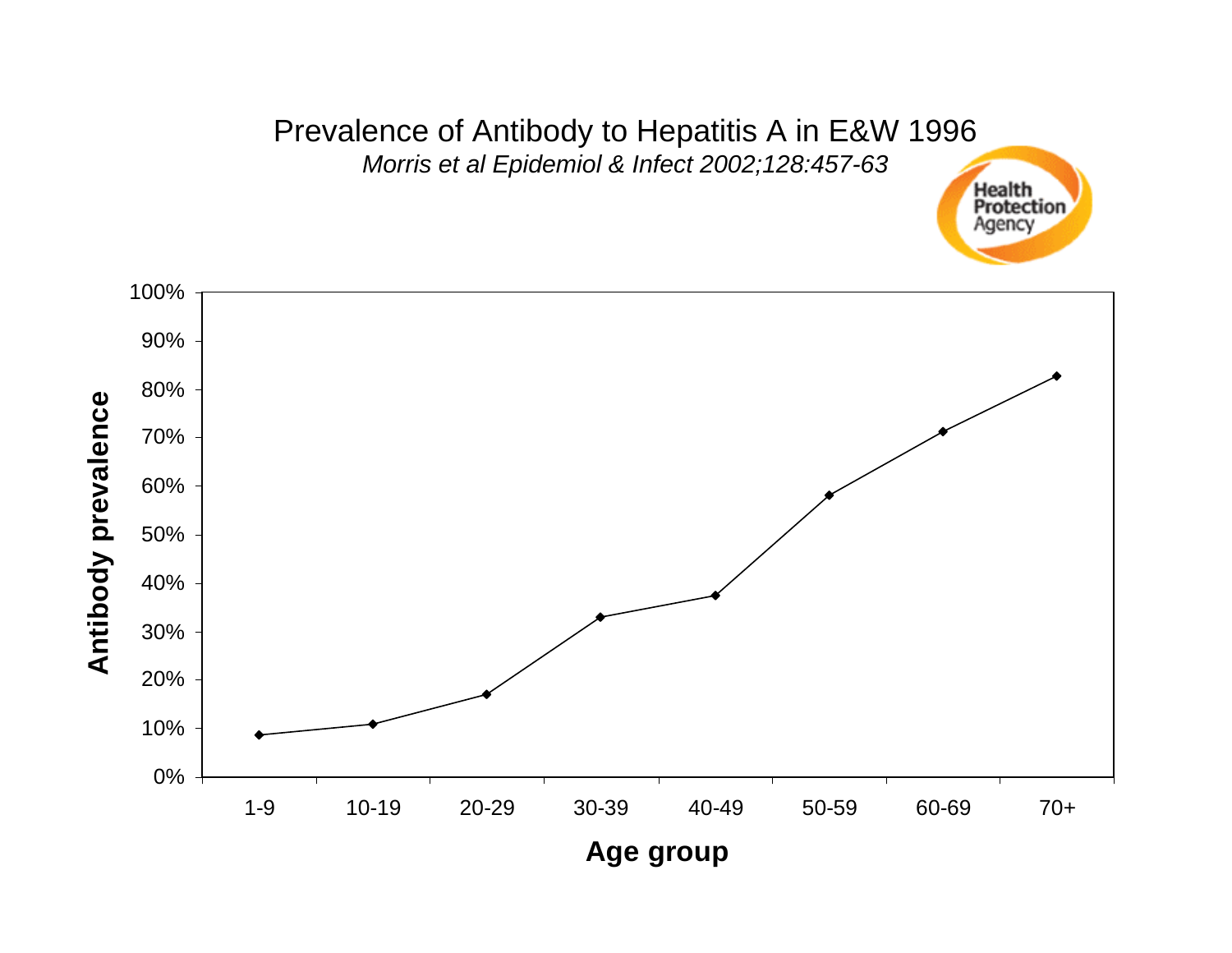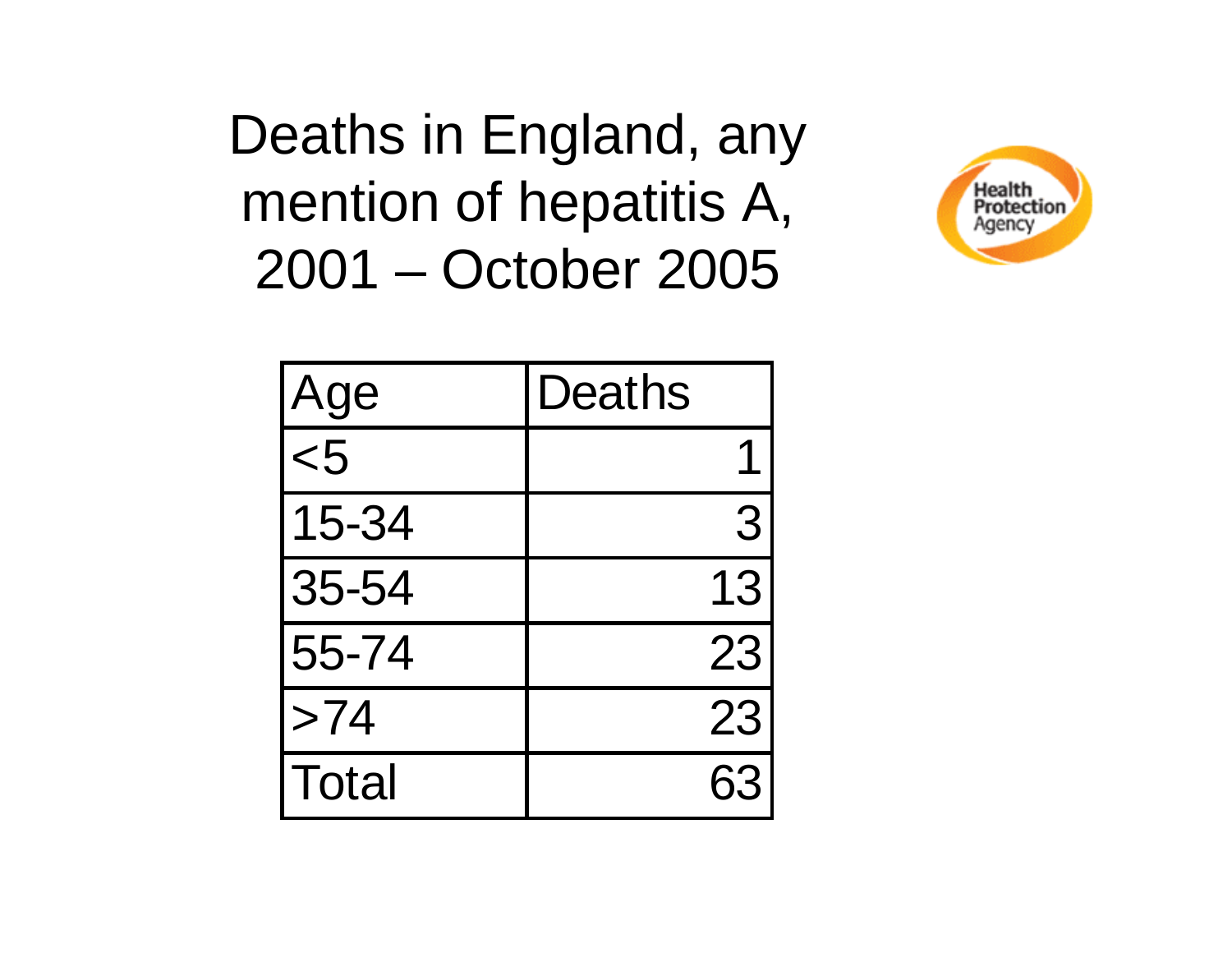Deaths in England, any mention of hepatitis A, 2001 – October 2005



| Age          | <b>Deaths</b> |
|--------------|---------------|
| $5$          |               |
| 15-34        | 3             |
| 35-54        | 13            |
| 55-74        | 23            |
| >74          | 23            |
| <b>Total</b> | 63            |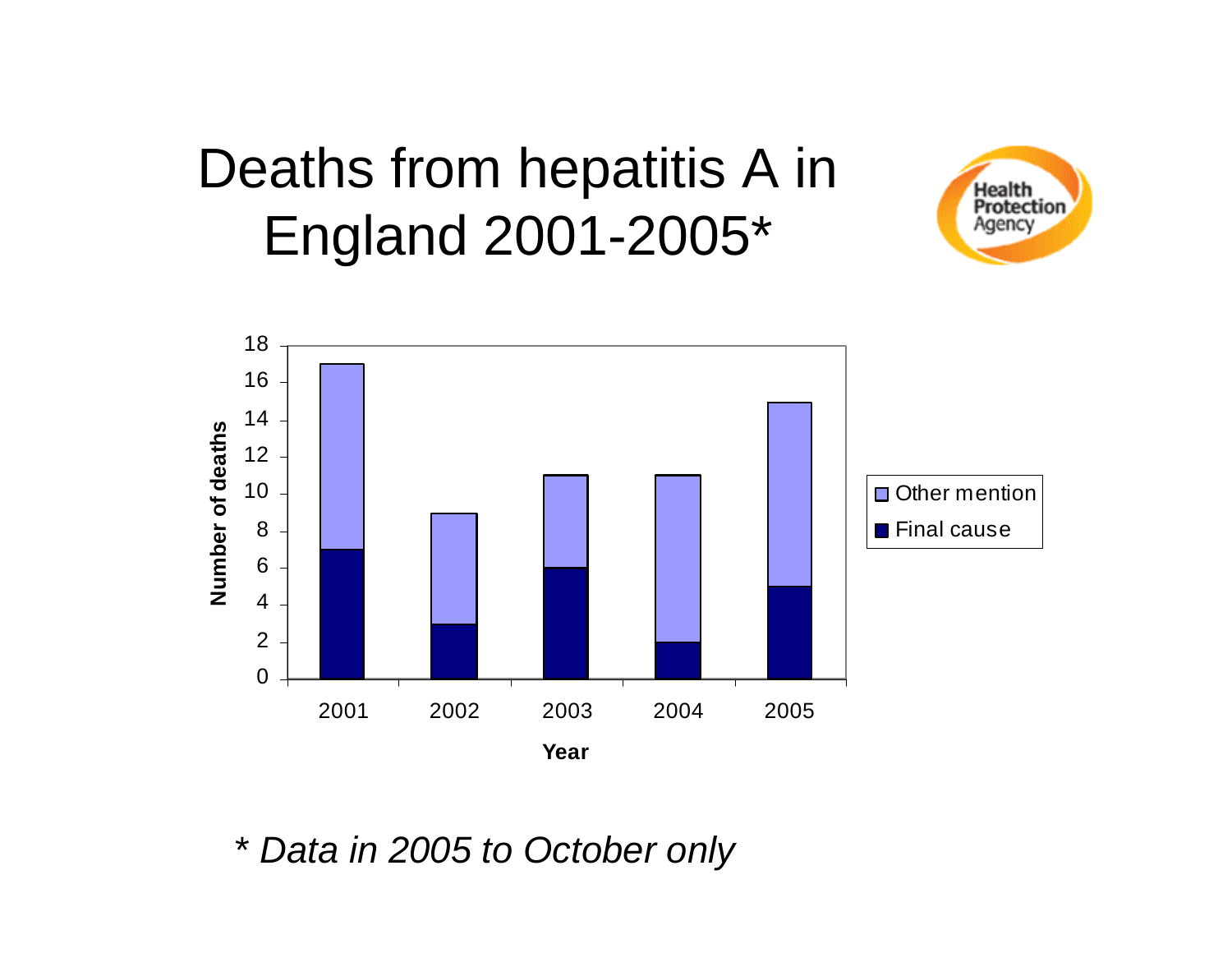## Deaths from hepatitis A in England 2001-2005\*





Data in 2005 to October only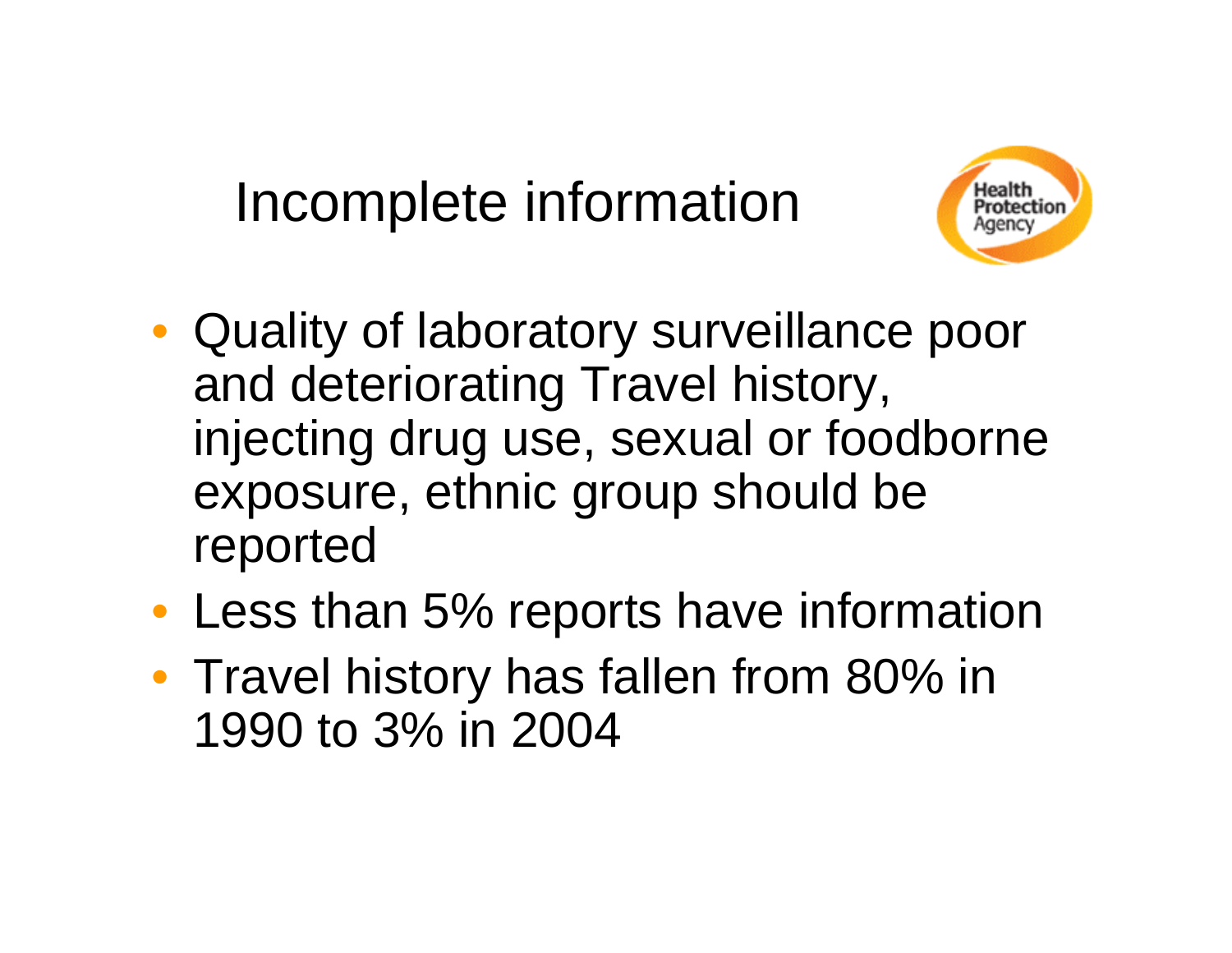## Incomplete information



- Quality of laboratory surveillance poor and deteriorating Travel history, injecting drug use, sexual or foodborne exposure, ethnic group should be reported
- Less than 5% reports have information
- Travel history has fallen from 80% in 1990 to 3% in 2004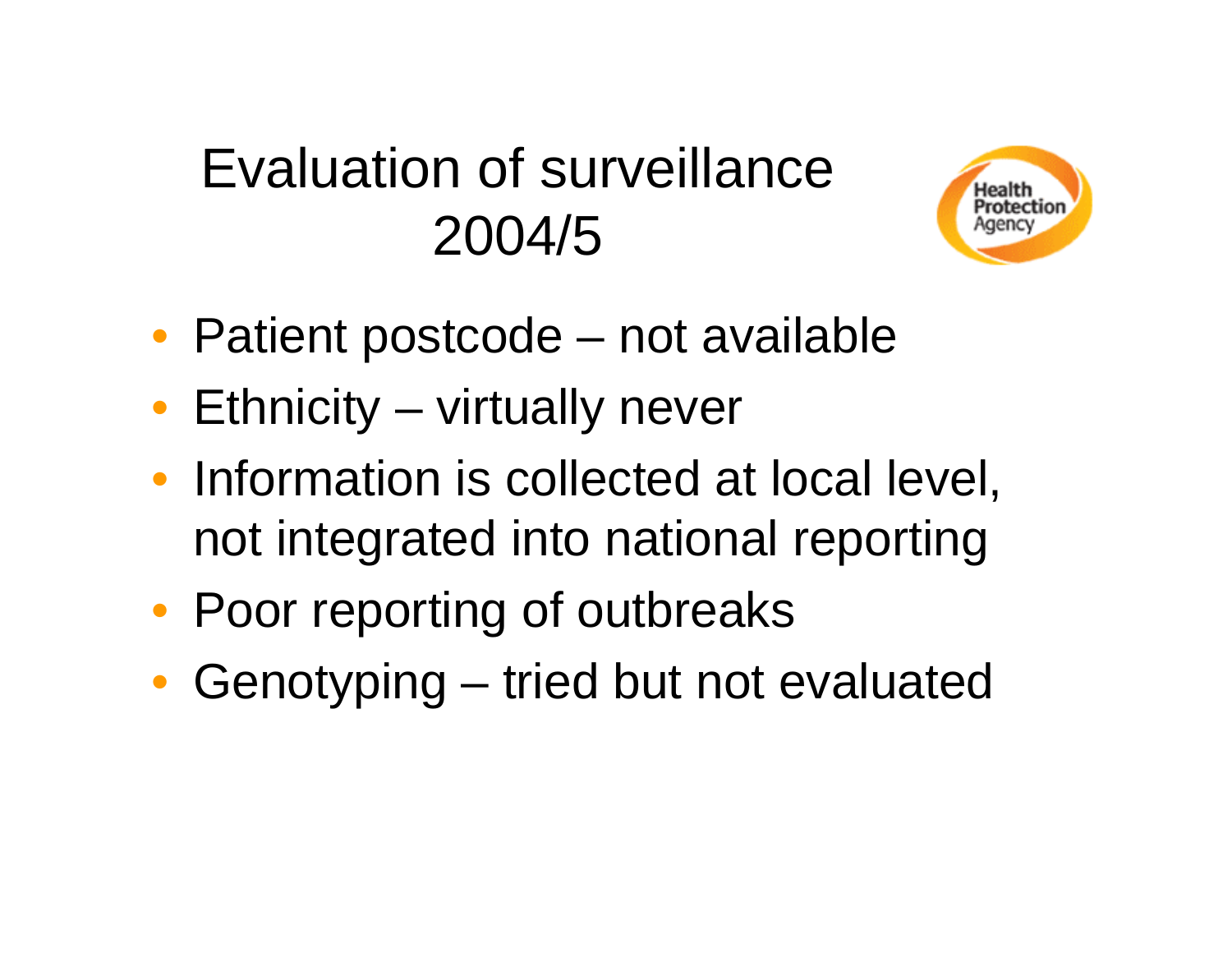## Evaluation of surveillance 2004/5



- Patient postcode not available
- Ethnicity virtually never
- Information is collected at local level, not integrated into national reporting
- Poor reporting of outbreaks
- Genotyping tried but not evaluated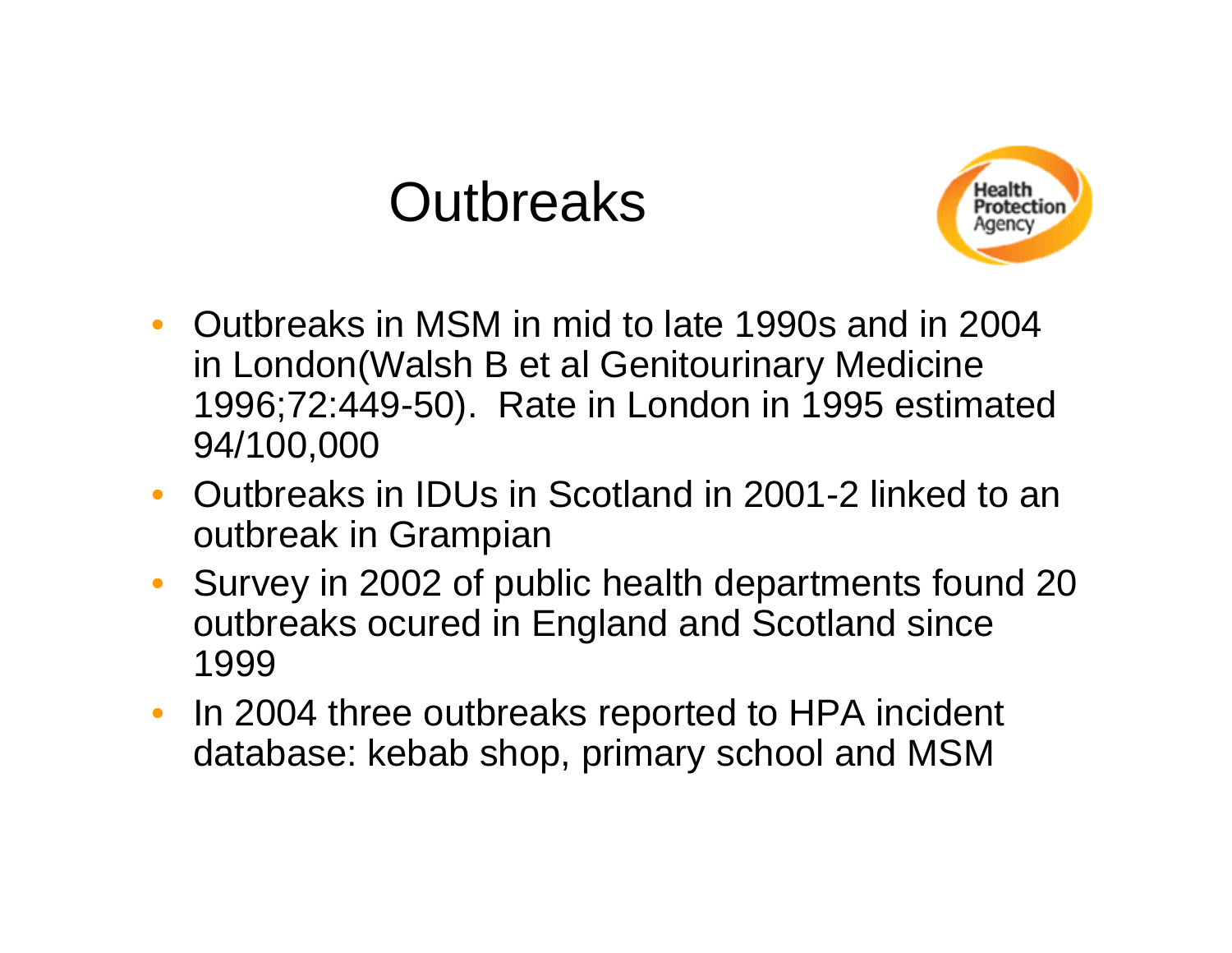#### **Outbreaks**



- Outbreaks in MSM in mid to late 1990s and in 2004 in London(Walsh B et al Genitourinary Medicine 1996;72:449-50). Rate in London in 1995 estimated 94/100,000
- Outbreaks in IDUs in Scotland in 2001-2 linked to an outbreak in Grampian
- $\bullet$  Survey in 2002 of public health departments found 20 outbreaks ocured in England and Scotland since 1999
- $\bullet$  In 2004 three outbreaks reported to HPA incident database: kebab shop, primary school and MSM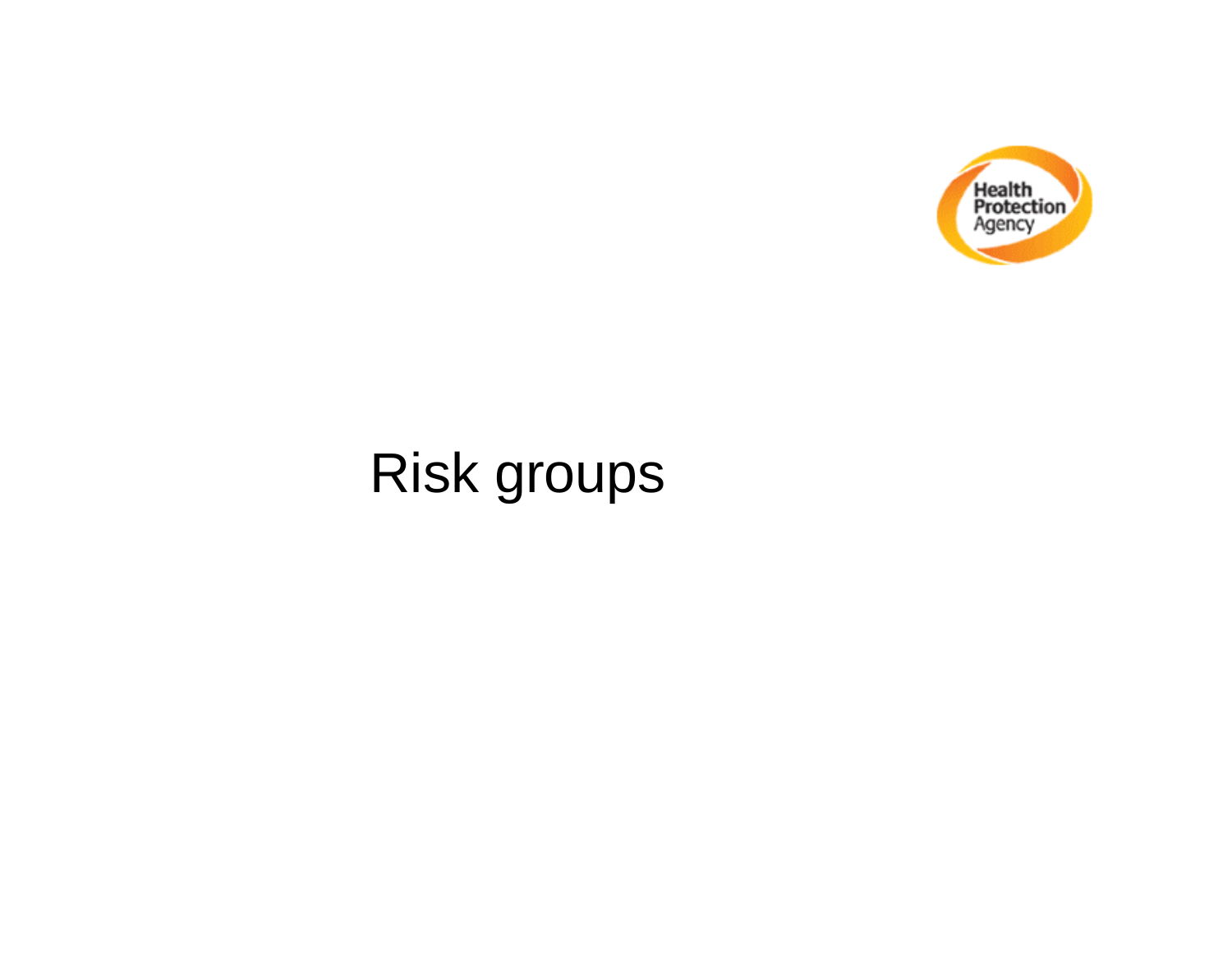

## Risk groups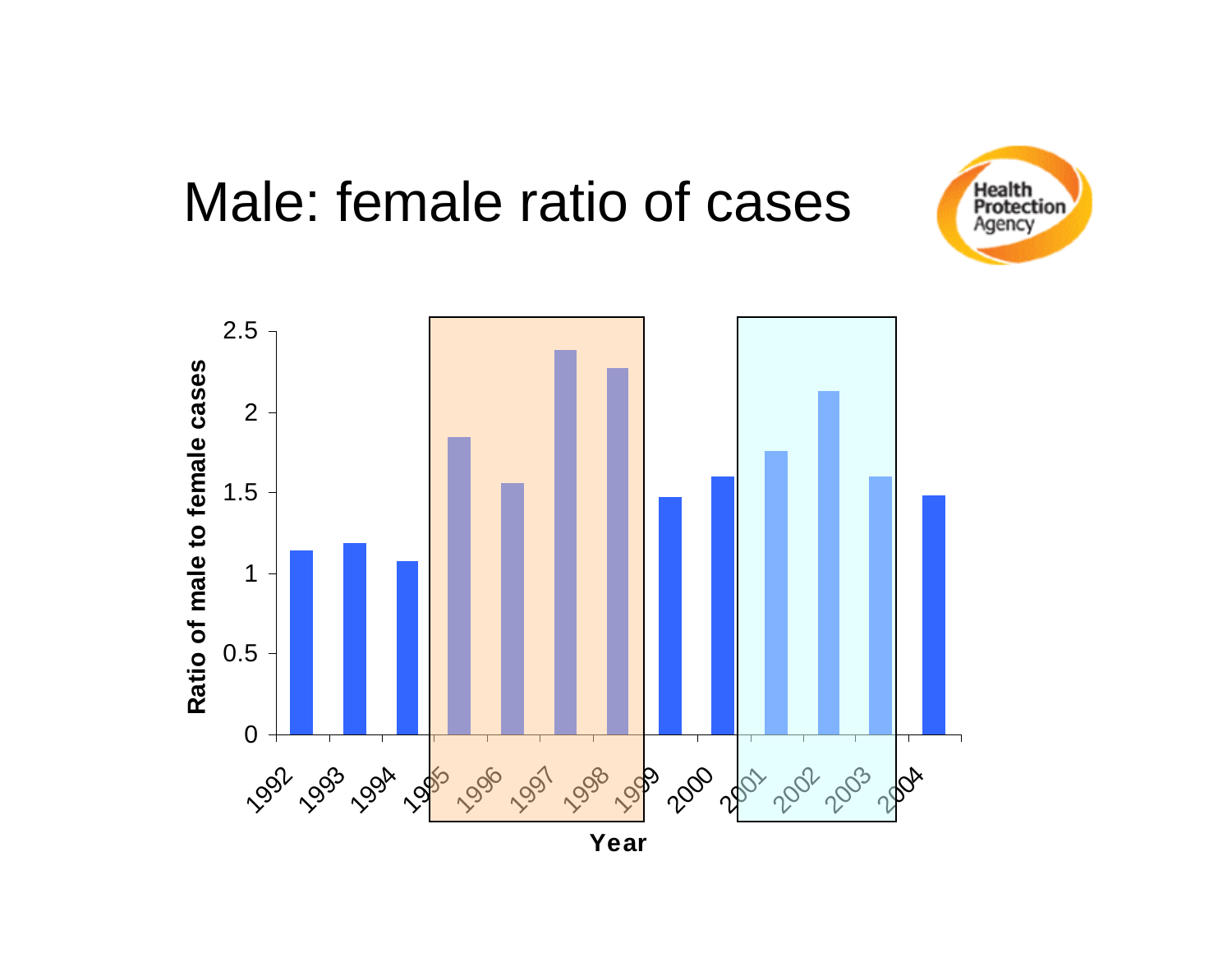#### Male: female ratio of cases



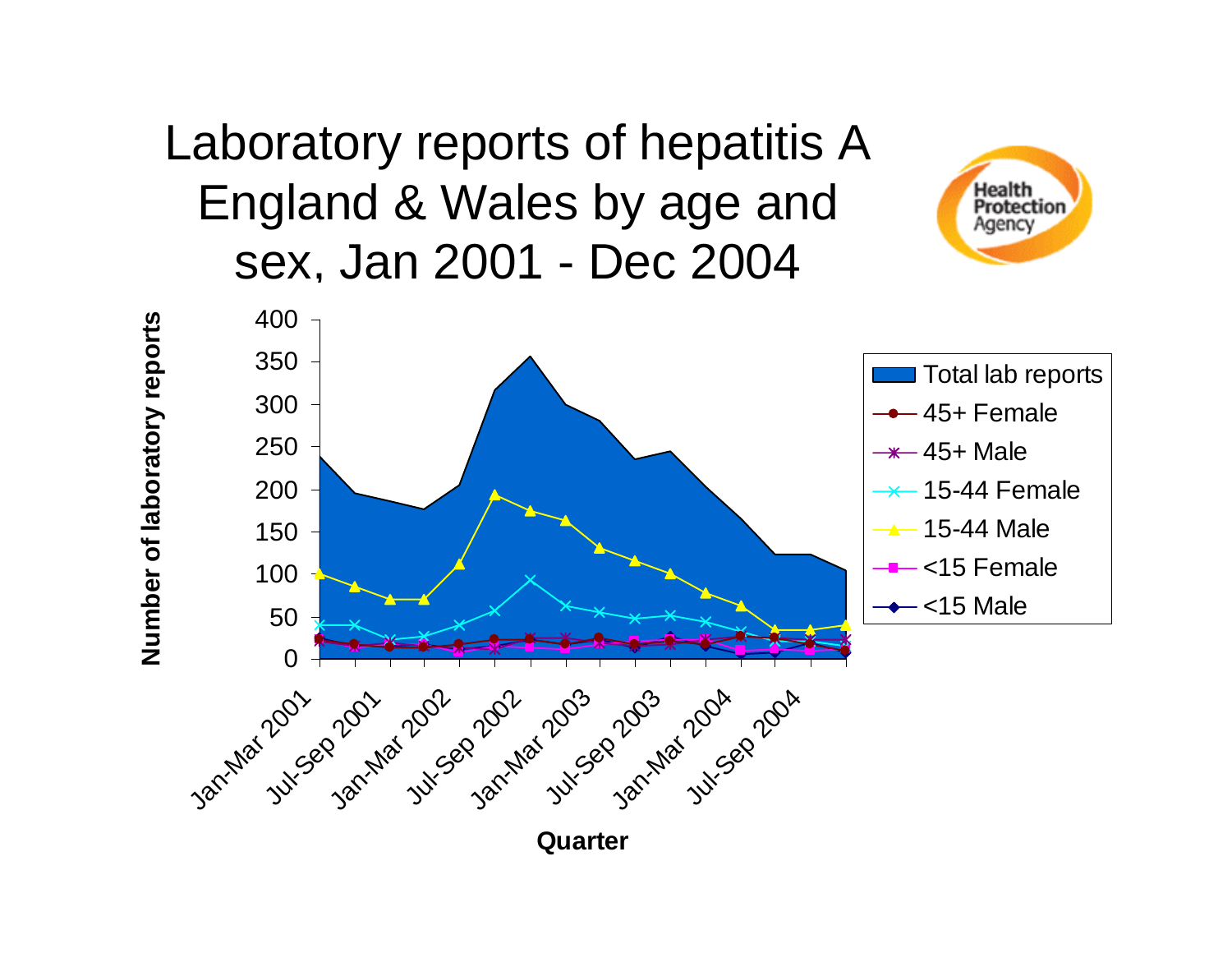#### Laboratory reports of hepatitis A England & Wales by age and sex, Jan 2001 - Dec 2004



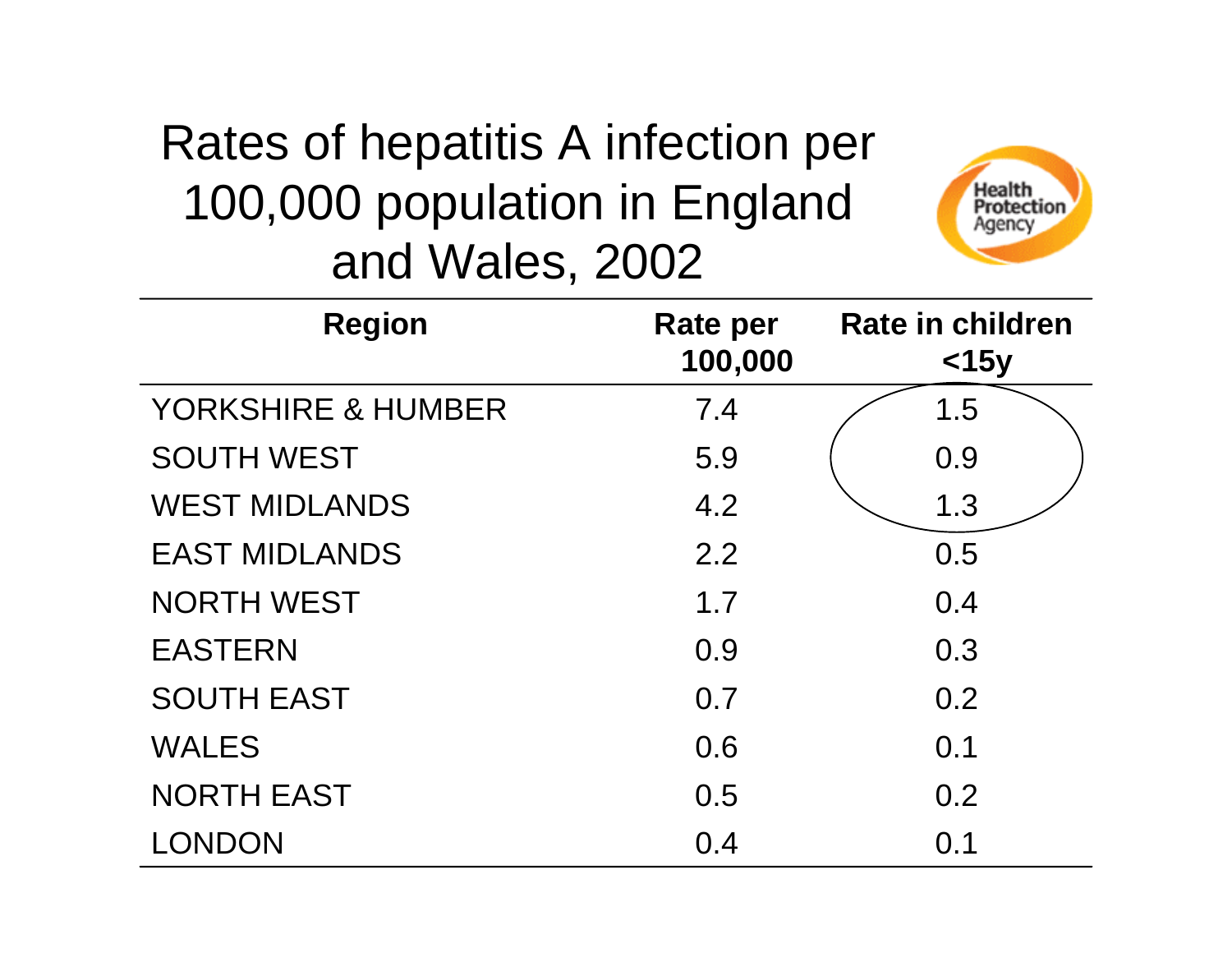#### Rates of hepatitis A infection per 100,000 population in England and Wales, 2002



| <b>Region</b>                 | Rate per<br>100,000 | <b>Rate in children</b><br>$<$ 15y |
|-------------------------------|---------------------|------------------------------------|
| <b>YORKSHIRE &amp; HUMBER</b> | 7.4                 | 1.5                                |
| <b>SOUTH WEST</b>             | 5.9                 | 0.9                                |
| <b>WEST MIDLANDS</b>          | 4.2                 | 1.3                                |
| <b>EAST MIDLANDS</b>          | 2.2                 | 0.5                                |
| <b>NORTH WEST</b>             | 1.7                 | 0.4                                |
| <b>EASTERN</b>                | 0.9                 | 0.3                                |
| <b>SOUTH EAST</b>             | 0.7                 | 0.2                                |
| <b>WALES</b>                  | 0.6                 | 0.1                                |
| <b>NORTH EAST</b>             | 0.5                 | 0.2                                |
| LONDON                        | 0.4                 | 0.1                                |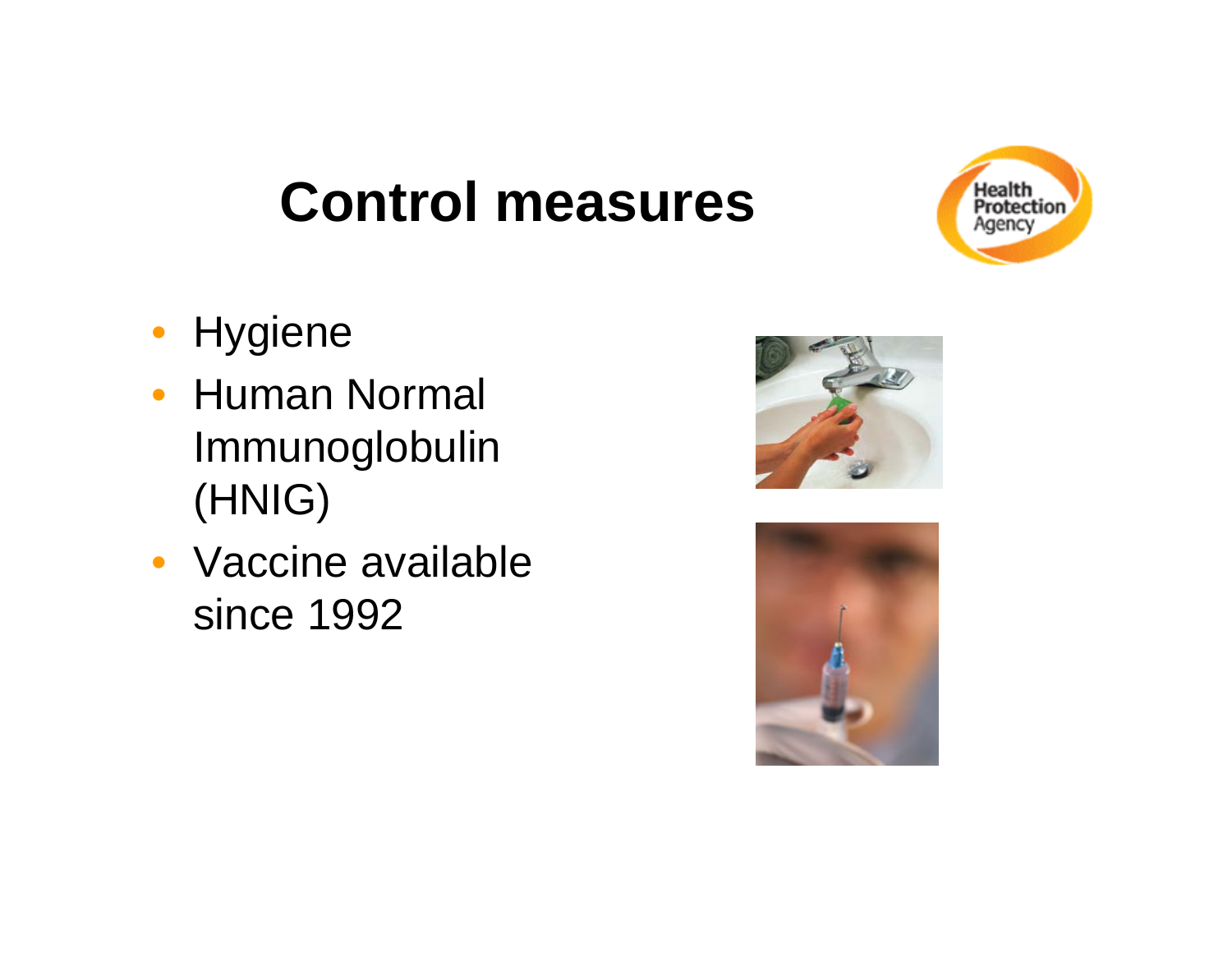## **Control measures**



- Hygiene
- Human Normal Immunoglobulin (HNIG)
- Vaccine available since 1992



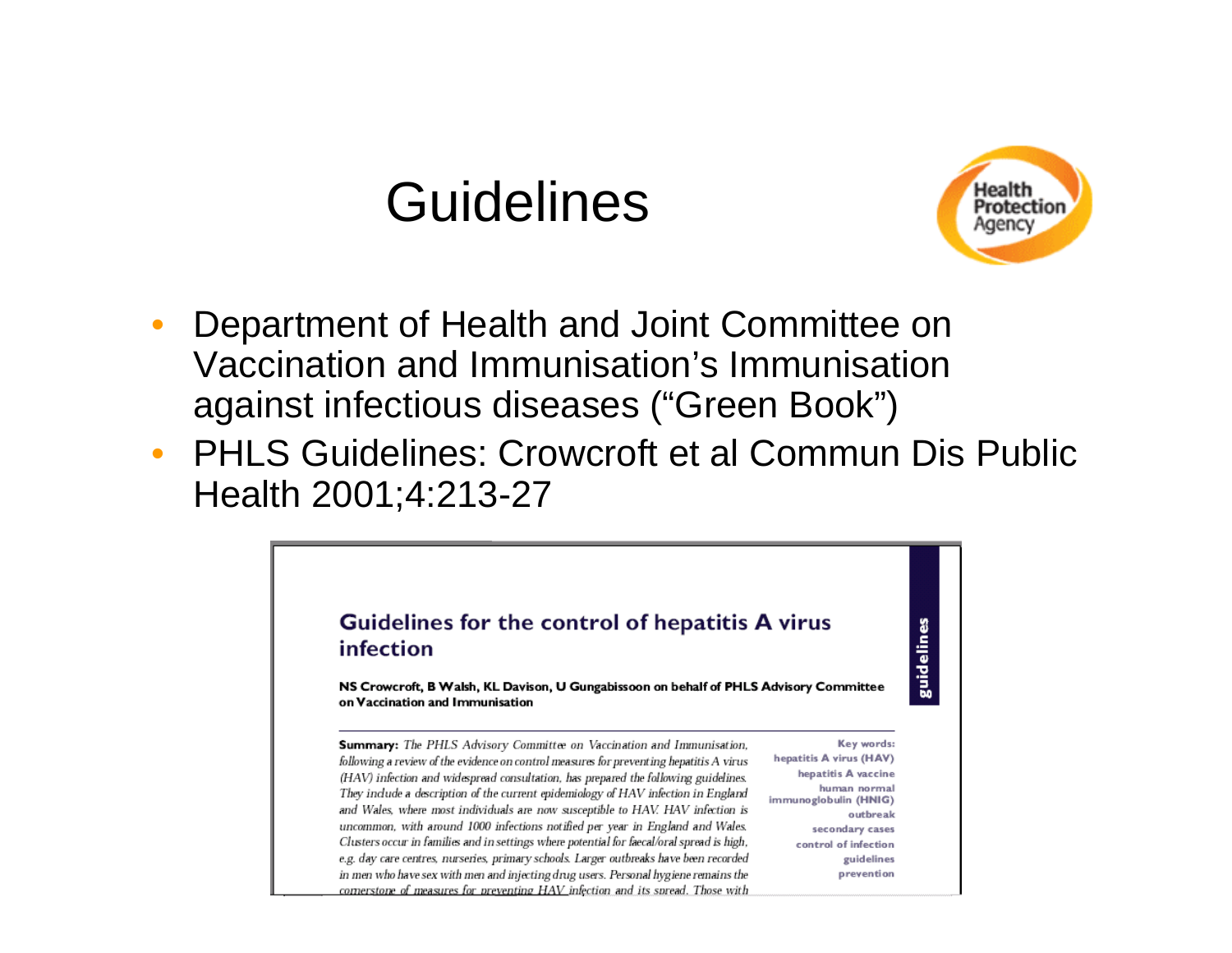#### **Guidelines**



- $\bullet$  Department of Health and Joint Committee on Vaccination and Immunisation's Immunisation against infectious diseases ("Green Book")
- $\bullet$  PHLS Guidelines: Crowcroft et al Commun Dis Public Health 2001;4:213-27

#### Guidelines for the control of hepatitis A virus infection

guidelines

NS Crowcroft, B Walsh, KL Davison, U Gungabissoon on behalf of PHLS Advisory Committee on Vaccination and Immunisation

Summary: The PHLS Advisory Committee on Vaccination and Immunisation, following a review of the evidence on control measures for preventing hepatitis A virus (HAV) infection and widespread consultation, has prepared the following guidelines. They include a description of the current epidemiology of HAV infection in England and Wales, where most individuals are now susceptible to HAV. HAV infection is uncommon, with around 1000 infections notified per year in England and Wales. Clusters occur in families and in settings where potential for faecal/oral spread is high, e.g. day care centres, nurseries, primary schools. Larger outbreaks have been recorded in men who have sex with men and injecting drug users. Personal hygiene remains the cornerstone of measures for preventing HAV infection and its spread. Those with

Key words: hepatitis A virus (HAV) hepatitis A vaccine human normal immunoglobulin (HNIG) outbreak secondary cases control of infection guidelines prevention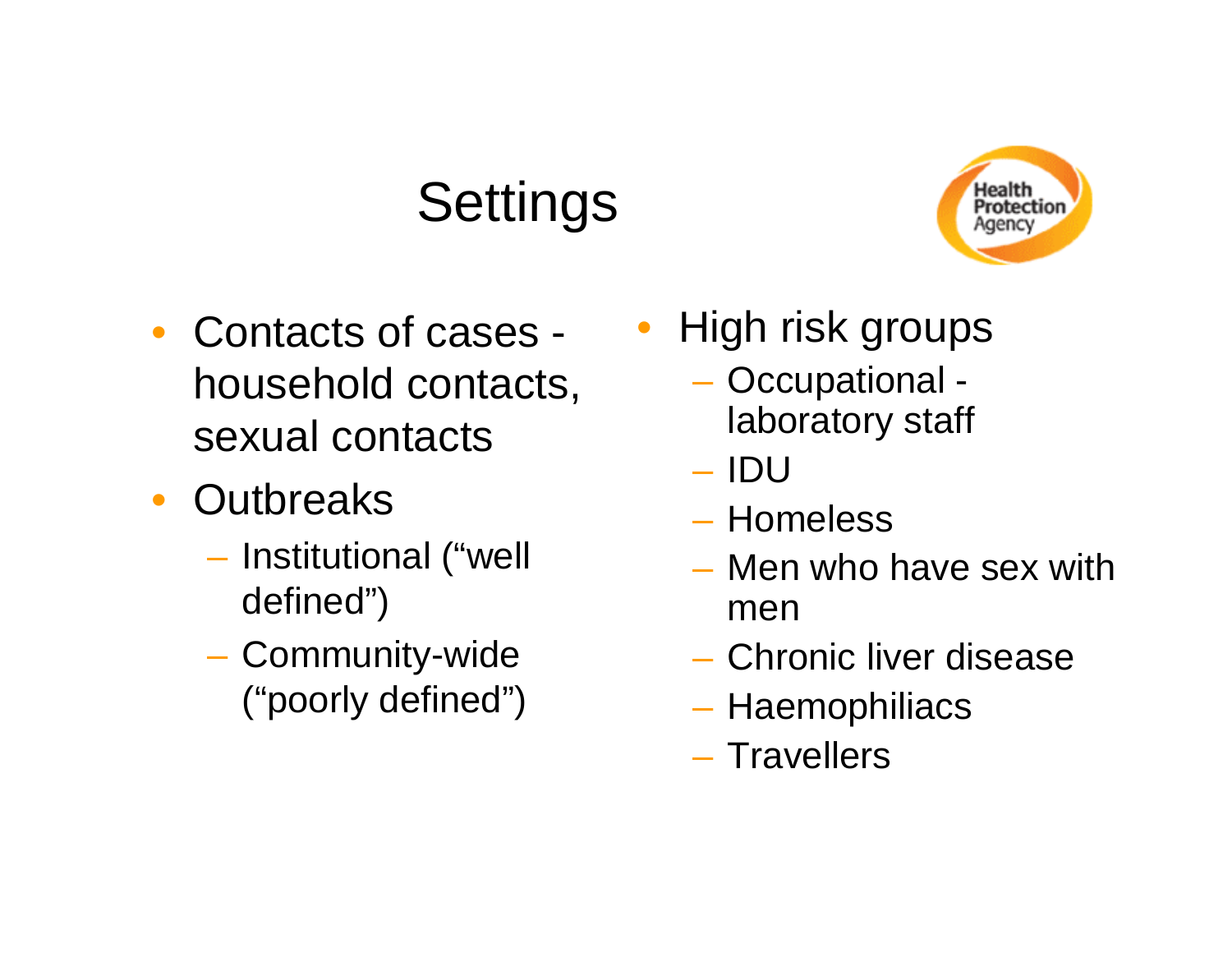### **Settings**



- Contacts of cases household contacts, sexual contacts
- Outbreaks
	- Institutional ("well defined")
	- –- Community-wide ("poorly defined")
- High risk groups
	- Occupational laboratory staff
	- IDU
	- Homeless
	- Men who have sex with men
	- Chronic liver disease
	- Haemophiliacs
	- Travellers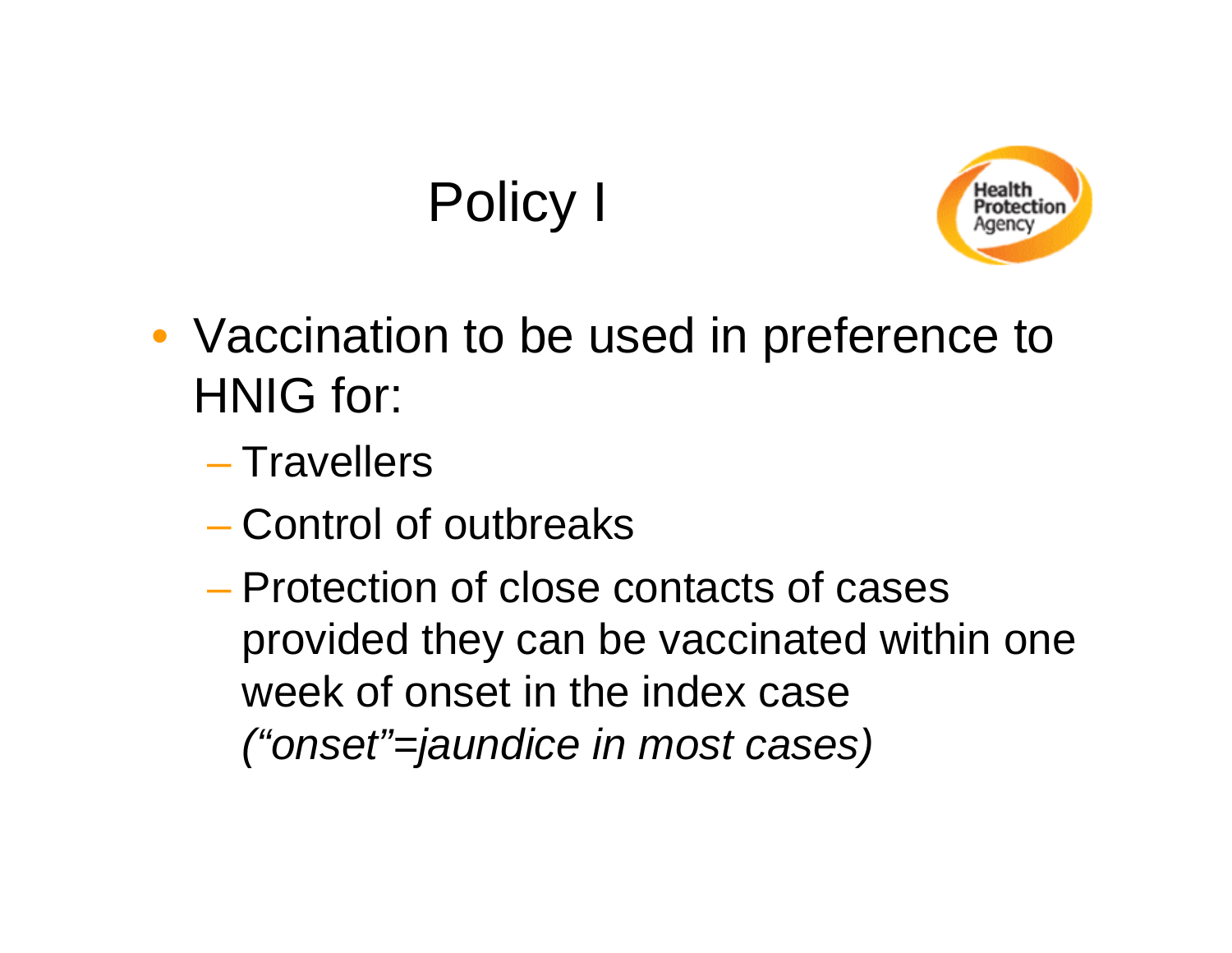## Policy I



- Vaccination to be used in preference to HNIG for:
	- Travellers
	- Control of outbreaks
	- Protection of close contacts of cases provided they can be vaccinated within one week of onset in the index case *("onset"=jaundice in most cases)*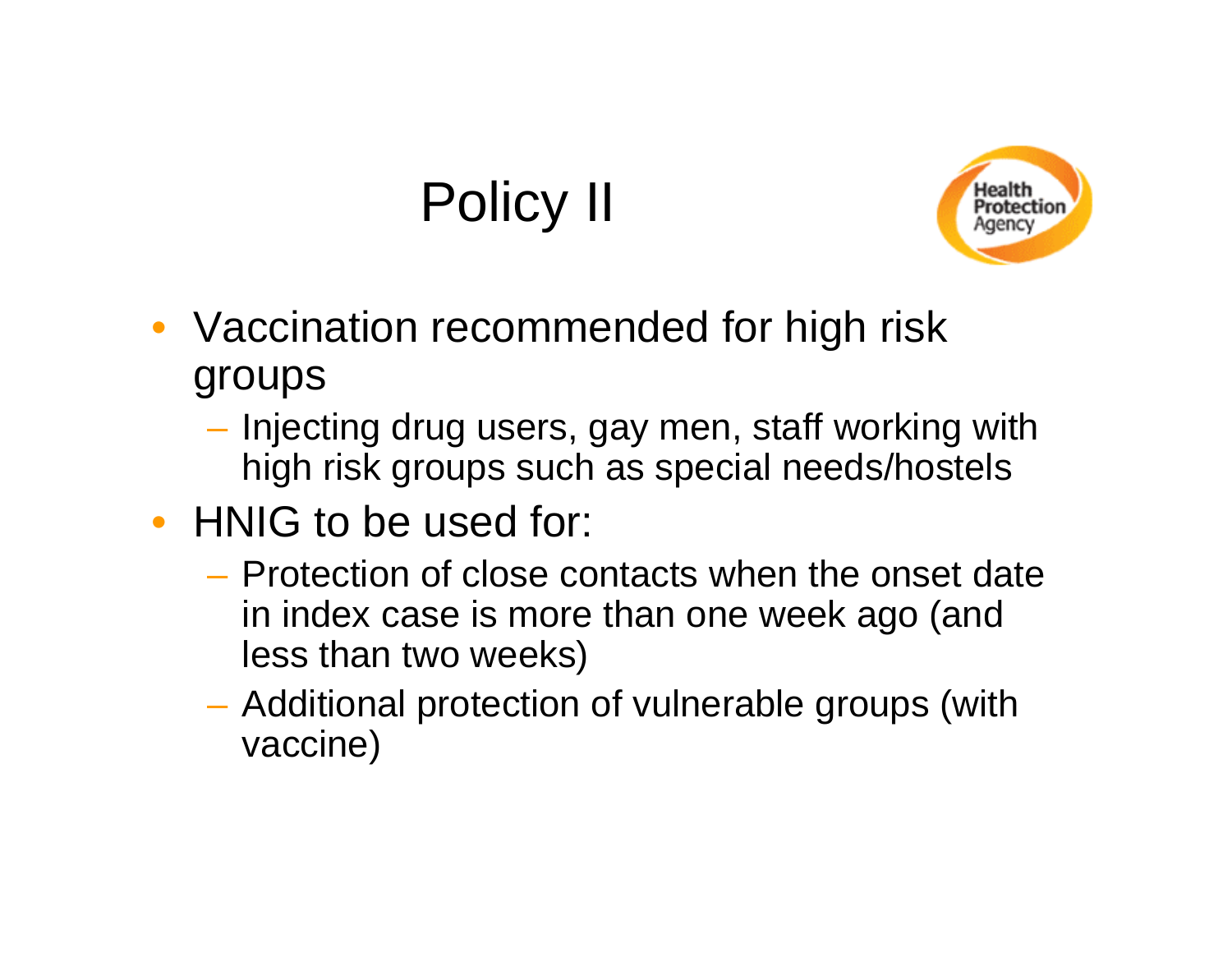## Policy II



- Vaccination recommended for high risk groups
	- Injecting drug users, gay men, staff working with high risk groups such as special needs/hostels
- HNIG to be used for:
	- Protection of close contacts when the onset date in index case is more than one week ago (and less than two weeks)
	- – Additional protection of vulnerable groups (with vaccine)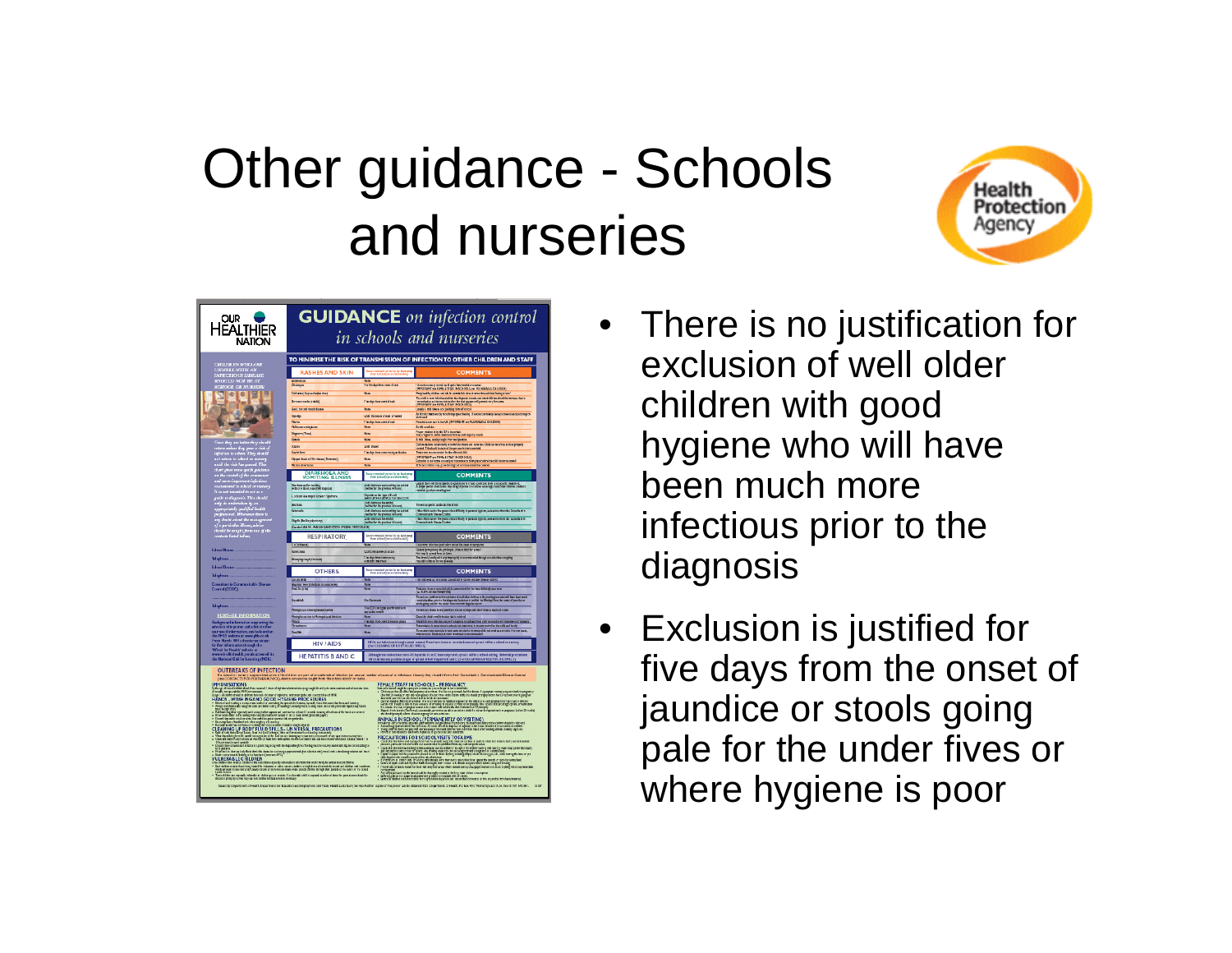## Other guidance - Schools and nurseries



| <b>DUR</b><br>HEALTHIER<br><b>NATION</b>                                                                                                                                                                                                                                                                                                                                                                                                              | <b>GUIDANCE</b> on infection control<br>in schools and nurseries                                                                                                                                                                                                                                                                                                                                                                                                                                                                                                                                                                                                                                                                                                                                                                                                                                                                                                                                                                                                                                                                                                                                                                                                              |                                                                                                              |                                                                                                                                                                                                                                                                                                                                                                                                                                                                                                                                                                                                                                                                                                                                                                                                                                                                                                                                                                                                                                                                                                                                                                                                                                                                                                                                                                                                                                                                                                                                                                                      |  |
|-------------------------------------------------------------------------------------------------------------------------------------------------------------------------------------------------------------------------------------------------------------------------------------------------------------------------------------------------------------------------------------------------------------------------------------------------------|-------------------------------------------------------------------------------------------------------------------------------------------------------------------------------------------------------------------------------------------------------------------------------------------------------------------------------------------------------------------------------------------------------------------------------------------------------------------------------------------------------------------------------------------------------------------------------------------------------------------------------------------------------------------------------------------------------------------------------------------------------------------------------------------------------------------------------------------------------------------------------------------------------------------------------------------------------------------------------------------------------------------------------------------------------------------------------------------------------------------------------------------------------------------------------------------------------------------------------------------------------------------------------|--------------------------------------------------------------------------------------------------------------|--------------------------------------------------------------------------------------------------------------------------------------------------------------------------------------------------------------------------------------------------------------------------------------------------------------------------------------------------------------------------------------------------------------------------------------------------------------------------------------------------------------------------------------------------------------------------------------------------------------------------------------------------------------------------------------------------------------------------------------------------------------------------------------------------------------------------------------------------------------------------------------------------------------------------------------------------------------------------------------------------------------------------------------------------------------------------------------------------------------------------------------------------------------------------------------------------------------------------------------------------------------------------------------------------------------------------------------------------------------------------------------------------------------------------------------------------------------------------------------------------------------------------------------------------------------------------------------|--|
|                                                                                                                                                                                                                                                                                                                                                                                                                                                       | TO MINIMISE THE RISK OF TRANSMISSION OF INFECTION TO OTHER CHILDREN AND STAFF                                                                                                                                                                                                                                                                                                                                                                                                                                                                                                                                                                                                                                                                                                                                                                                                                                                                                                                                                                                                                                                                                                                                                                                                 |                                                                                                              |                                                                                                                                                                                                                                                                                                                                                                                                                                                                                                                                                                                                                                                                                                                                                                                                                                                                                                                                                                                                                                                                                                                                                                                                                                                                                                                                                                                                                                                                                                                                                                                      |  |
| <b>CHILDREN WHO ARE</b><br>UNWELL WITH AN                                                                                                                                                                                                                                                                                                                                                                                                             | <b>RASHES AND SKIN</b>                                                                                                                                                                                                                                                                                                                                                                                                                                                                                                                                                                                                                                                                                                                                                                                                                                                                                                                                                                                                                                                                                                                                                                                                                                                        | ind by the A<br>market in                                                                                    | <b>COMMENTS</b>                                                                                                                                                                                                                                                                                                                                                                                                                                                                                                                                                                                                                                                                                                                                                                                                                                                                                                                                                                                                                                                                                                                                                                                                                                                                                                                                                                                                                                                                                                                                                                      |  |
| INFECTIOUS DISEASE<br>SHOULD NOT BE AT<br>SCHOOL OR NURSERY.                                                                                                                                                                                                                                                                                                                                                                                          | Oldsmop                                                                                                                                                                                                                                                                                                                                                                                                                                                                                                                                                                                                                                                                                                                                                                                                                                                                                                                                                                                                                                                                                                                                                                                                                                                                       | For the date from count of seal                                                                              | <b>Itinuotecessy in witted quinties build or crude!<br/>(WRORWAT:se FRY&amp;LE STAFF IN SOLOCIE, see V.E. MEMALE CHILDER)</b>                                                                                                                                                                                                                                                                                                                                                                                                                                                                                                                                                                                                                                                                                                                                                                                                                                                                                                                                                                                                                                                                                                                                                                                                                                                                                                                                                                                                                                                        |  |
| <b>ID</b><br>$\bullet$                                                                                                                                                                                                                                                                                                                                                                                                                                | Cold some   Heroecologies virus                                                                                                                                                                                                                                                                                                                                                                                                                                                                                                                                                                                                                                                                                                                                                                                                                                                                                                                                                                                                                                                                                                                                                                                                                                               | Note                                                                                                         | Plany book by children and side be correlection virus at some three without leaving a 'enro                                                                                                                                                                                                                                                                                                                                                                                                                                                                                                                                                                                                                                                                                                                                                                                                                                                                                                                                                                                                                                                                                                                                                                                                                                                                                                                                                                                                                                                                                          |  |
|                                                                                                                                                                                                                                                                                                                                                                                                                                                       | German setts (habita)                                                                                                                                                                                                                                                                                                                                                                                                                                                                                                                                                                                                                                                                                                                                                                                                                                                                                                                                                                                                                                                                                                                                                                                                                                                         | Fire days from cowd of such                                                                                  | The child is most infectious below the diagnosis increde and executible we should be immuse due to<br>Transmission on that act televative the risk signature will prevent very learning.<br>(1990) RWAT tow TEPA LE STARF IN \$ 04:00                                                                                                                                                                                                                                                                                                                                                                                                                                                                                                                                                                                                                                                                                                                                                                                                                                                                                                                                                                                                                                                                                                                                                                                                                                                                                                                                                |  |
|                                                                                                                                                                                                                                                                                                                                                                                                                                                       | Hard but and mosth disease                                                                                                                                                                                                                                                                                                                                                                                                                                                                                                                                                                                                                                                                                                                                                                                                                                                                                                                                                                                                                                                                                                                                                                                                                                                    | Note                                                                                                         | Unut'y a rold cleans not justifying three of whose                                                                                                                                                                                                                                                                                                                                                                                                                                                                                                                                                                                                                                                                                                                                                                                                                                                                                                                                                                                                                                                                                                                                                                                                                                                                                                                                                                                                                                                                                                                                   |  |
|                                                                                                                                                                                                                                                                                                                                                                                                                                                       | Imputer<br><b>Take</b>                                                                                                                                                                                                                                                                                                                                                                                                                                                                                                                                                                                                                                                                                                                                                                                                                                                                                                                                                                                                                                                                                                                                                                                                                                                        | Until trainware credist or healed<br>Fire days from cow but such                                             | de thirds the trivet by most time speed belling J1 below can roll bly be layst covered exclusion may be<br>shortened<br>Meetin look new lotte UK, JIMPORTANT: me VLLNE RADILE CHILDREN:                                                                                                                                                                                                                                                                                                                                                                                                                                                                                                                                                                                                                                                                                                                                                                                                                                                                                                                                                                                                                                                                                                                                                                                                                                                                                                                                                                                              |  |
|                                                                                                                                                                                                                                                                                                                                                                                                                                                       | Philason contestion                                                                                                                                                                                                                                                                                                                                                                                                                                                                                                                                                                                                                                                                                                                                                                                                                                                                                                                                                                                                                                                                                                                                                                                                                                                           | Note<br>Note                                                                                                 | Arnit cost to                                                                                                                                                                                                                                                                                                                                                                                                                                                                                                                                                                                                                                                                                                                                                                                                                                                                                                                                                                                                                                                                                                                                                                                                                                                                                                                                                                                                                                                                                                                                                                        |  |
|                                                                                                                                                                                                                                                                                                                                                                                                                                                       | <b>Regearing (Theat)</b><br><b>Standards</b>                                                                                                                                                                                                                                                                                                                                                                                                                                                                                                                                                                                                                                                                                                                                                                                                                                                                                                                                                                                                                                                                                                                                                                                                                                  | Note                                                                                                         | Properties mently the GP is important<br>Sixty ringers medicines mentled as and implify runs to<br>A mid ihre, mully copi tirus nel peters                                                                                                                                                                                                                                                                                                                                                                                                                                                                                                                                                                                                                                                                                                                                                                                                                                                                                                                                                                                                                                                                                                                                                                                                                                                                                                                                                                                                                                           |  |
|                                                                                                                                                                                                                                                                                                                                                                                                                                                       | Sobre                                                                                                                                                                                                                                                                                                                                                                                                                                                                                                                                                                                                                                                                                                                                                                                                                                                                                                                                                                                                                                                                                                                                                                                                                                                                         | Unit traded                                                                                                  | Cultivale has creationly accored is utualized to veries. Child can relate as not as properly transl. This dood said the person is the boostelli<br>Tradicted accommended for the places child                                                                                                                                                                                                                                                                                                                                                                                                                                                                                                                                                                                                                                                                                                                                                                                                                                                                                                                                                                                                                                                                                                                                                                                                                                                                                                                                                                                        |  |
|                                                                                                                                                                                                                                                                                                                                                                                                                                                       | <b>Started firm</b><br>Sigged clouk or Filth (Jason (Permeter)                                                                                                                                                                                                                                                                                                                                                                                                                                                                                                                                                                                                                                                                                                                                                                                                                                                                                                                                                                                                                                                                                                                                                                                                                | File days from commencing as \$5.00m                                                                         | (1990): WAY : see FRPA LE STARF IN SIGN DOLLS<br>Écritates la ted lectre as exclu all transmission in les placeballers the child because assed                                                                                                                                                                                                                                                                                                                                                                                                                                                                                                                                                                                                                                                                                                                                                                                                                                                                                                                                                                                                                                                                                                                                                                                                                                                                                                                                                                                                                                       |  |
|                                                                                                                                                                                                                                                                                                                                                                                                                                                       | Washington County of                                                                                                                                                                                                                                                                                                                                                                                                                                                                                                                                                                                                                                                                                                                                                                                                                                                                                                                                                                                                                                                                                                                                                                                                                                                          | <b>None</b>                                                                                                  | At head children may go we income but normano should be conveni-                                                                                                                                                                                                                                                                                                                                                                                                                                                                                                                                                                                                                                                                                                                                                                                                                                                                                                                                                                                                                                                                                                                                                                                                                                                                                                                                                                                                                                                                                                                     |  |
| $\begin{tabular}{ c c c c } \hline \multicolumn{3}{ c }{\textbf{Case}~\textbf{A}}} & \multicolumn{2}{ c }{\textbf{Case}~\textbf{A}}} & \multicolumn{2}{ c }{\textbf{Case}~\textbf{A}}} & \multicolumn{2}{ c }{\textbf{Case}~\textbf{A}}} & \multicolumn{2}{ c }{\textbf{Case}~\textbf{A}}} & \multicolumn{2}{ c }{\textbf{Case}~\textbf{A}}} & \multicolumn{2}{ c }{\textbf{Case}~\textbf{A}}} & \multicolumn{2}{ c }{\textbf{Case}~\textbf{A}}} & \$ | DIARRHOEA AND<br>VOMITING ILLNESS                                                                                                                                                                                                                                                                                                                                                                                                                                                                                                                                                                                                                                                                                                                                                                                                                                                                                                                                                                                                                                                                                                                                                                                                                                             | Accommended partied to be looking<br>Pomechooffense child is well                                            | <b>COMMENTS</b>                                                                                                                                                                                                                                                                                                                                                                                                                                                                                                                                                                                                                                                                                                                                                                                                                                                                                                                                                                                                                                                                                                                                                                                                                                                                                                                                                                                                                                                                                                                                                                      |  |
|                                                                                                                                                                                                                                                                                                                                                                                                                                                       | Cherbau arder verille)<br>A lb one lbost a med Fil danceli                                                                                                                                                                                                                                                                                                                                                                                                                                                                                                                                                                                                                                                                                                                                                                                                                                                                                                                                                                                                                                                                                                                                                                                                                    | Until charious and somiting has mitted<br>(helter for the previous 24 form)                                  | Usin it they will be so specific diagnosis and in result condition there is no specific twainwest.<br>A tingle period of enclosion may be appropriate the Children under age C and dater children a todal to<br>realistate pool pers                                                                                                                                                                                                                                                                                                                                                                                                                                                                                                                                                                                                                                                                                                                                                                                                                                                                                                                                                                                                                                                                                                                                                                                                                                                                                                                                                 |  |
|                                                                                                                                                                                                                                                                                                                                                                                                                                                       | <b>Cooland Harmigriz Uram t Syndrome</b>                                                                                                                                                                                                                                                                                                                                                                                                                                                                                                                                                                                                                                                                                                                                                                                                                                                                                                                                                                                                                                                                                                                                                                                                                                      | Depends on the type of E. call<br>seek FURTHER AZAFCE there the CCDC                                         |                                                                                                                                                                                                                                                                                                                                                                                                                                                                                                                                                                                                                                                                                                                                                                                                                                                                                                                                                                                                                                                                                                                                                                                                                                                                                                                                                                                                                                                                                                                                                                                      |  |
|                                                                                                                                                                                                                                                                                                                                                                                                                                                       | Grden                                                                                                                                                                                                                                                                                                                                                                                                                                                                                                                                                                                                                                                                                                                                                                                                                                                                                                                                                                                                                                                                                                                                                                                                                                                                         | Until clumbara has mitted<br>(tell for the presions 24 board)                                                | There is a specific as thirds: invatered                                                                                                                                                                                                                                                                                                                                                                                                                                                                                                                                                                                                                                                                                                                                                                                                                                                                                                                                                                                                                                                                                                                                                                                                                                                                                                                                                                                                                                                                                                                                             |  |
|                                                                                                                                                                                                                                                                                                                                                                                                                                                       | <b>Schools</b>                                                                                                                                                                                                                                                                                                                                                                                                                                                                                                                                                                                                                                                                                                                                                                                                                                                                                                                                                                                                                                                                                                                                                                                                                                                                | Until clustrices and somiting has esting<br>(without last presional Di Board)<br>Until clustrices has as the | If the child is under the years or has 4 finally in personal legie to, seek advice than the Consults of in<br>Communicable Dimens Control                                                                                                                                                                                                                                                                                                                                                                                                                                                                                                                                                                                                                                                                                                                                                                                                                                                                                                                                                                                                                                                                                                                                                                                                                                                                                                                                                                                                                                            |  |
|                                                                                                                                                                                                                                                                                                                                                                                                                                                       | Shipsh (Backery dynastry)                                                                                                                                                                                                                                                                                                                                                                                                                                                                                                                                                                                                                                                                                                                                                                                                                                                                                                                                                                                                                                                                                                                                                                                                                                                     | (teller brite pressur 30 board)                                                                              | If the child is usede the post orient of fitzily in percent legis to, seek addite from the Consultant in<br>Communicable Disease Control                                                                                                                                                                                                                                                                                                                                                                                                                                                                                                                                                                                                                                                                                                                                                                                                                                                                                                                                                                                                                                                                                                                                                                                                                                                                                                                                                                                                                                             |  |
| It as not valented to set as a<br>guide to elegancia. This should<br>only be undertaken by an<br>appropriately qualified leads<br>are projectional. Whenever there is<br>any touted to sough (from one of the<br>contacts listed below,<br>contacts                                                                                                                                                                                                   | (Two also HANDS - WASHING AND COCO HYGENS PROCEDULES)                                                                                                                                                                                                                                                                                                                                                                                                                                                                                                                                                                                                                                                                                                                                                                                                                                                                                                                                                                                                                                                                                                                                                                                                                         |                                                                                                              |                                                                                                                                                                                                                                                                                                                                                                                                                                                                                                                                                                                                                                                                                                                                                                                                                                                                                                                                                                                                                                                                                                                                                                                                                                                                                                                                                                                                                                                                                                                                                                                      |  |
|                                                                                                                                                                                                                                                                                                                                                                                                                                                       | <b>RESPIRATORY</b>                                                                                                                                                                                                                                                                                                                                                                                                                                                                                                                                                                                                                                                                                                                                                                                                                                                                                                                                                                                                                                                                                                                                                                                                                                                            | Recurrent rended partied by the last mean<br>Prom unbook journal child is with                               | <b>COMMENTS</b>                                                                                                                                                                                                                                                                                                                                                                                                                                                                                                                                                                                                                                                                                                                                                                                                                                                                                                                                                                                                                                                                                                                                                                                                                                                                                                                                                                                                                                                                                                                                                                      |  |
| <b>School Nurus</b>                                                                                                                                                                                                                                                                                                                                                                                                                                   | 173.99<br>Tabout stock                                                                                                                                                                                                                                                                                                                                                                                                                                                                                                                                                                                                                                                                                                                                                                                                                                                                                                                                                                                                                                                                                                                                                                                                                                                        | CCDC will acide on antico                                                                                    | I is in most infectious just below and at the coust of sprapices<br>Generally requires also prolouged, slow cantact for spread<br>Not used a speed from children                                                                                                                                                                                                                                                                                                                                                                                                                                                                                                                                                                                                                                                                                                                                                                                                                                                                                                                                                                                                                                                                                                                                                                                                                                                                                                                                                                                                                     |  |
| <b>Ideployed</b>                                                                                                                                                                                                                                                                                                                                                                                                                                      | Wheeling court (Pertoonly)                                                                                                                                                                                                                                                                                                                                                                                                                                                                                                                                                                                                                                                                                                                                                                                                                                                                                                                                                                                                                                                                                                                                                                                                                                                    | The days from commencing<br>anticide treatment                                                               | The brand (seed) with working result is recommended though sometime that coughing<br>rangedd codde m for range medal                                                                                                                                                                                                                                                                                                                                                                                                                                                                                                                                                                                                                                                                                                                                                                                                                                                                                                                                                                                                                                                                                                                                                                                                                                                                                                                                                                                                                                                                 |  |
| School Doctor                                                                                                                                                                                                                                                                                                                                                                                                                                         | <b>OTHERS</b>                                                                                                                                                                                                                                                                                                                                                                                                                                                                                                                                                                                                                                                                                                                                                                                                                                                                                                                                                                                                                                                                                                                                                                                                                                                                 | locare rended parted to be lact new                                                                          | <b>COMMENTS</b>                                                                                                                                                                                                                                                                                                                                                                                                                                                                                                                                                                                                                                                                                                                                                                                                                                                                                                                                                                                                                                                                                                                                                                                                                                                                                                                                                                                                                                                                                                                                                                      |  |
| Ideeboxe                                                                                                                                                                                                                                                                                                                                                                                                                                              | Com junctor 25                                                                                                                                                                                                                                                                                                                                                                                                                                                                                                                                                                                                                                                                                                                                                                                                                                                                                                                                                                                                                                                                                                                                                                                                                                                                |                                                                                                              | If an outbook our an earnily Canadiant in Career shinkin Choose Castesi                                                                                                                                                                                                                                                                                                                                                                                                                                                                                                                                                                                                                                                                                                                                                                                                                                                                                                                                                                                                                                                                                                                                                                                                                                                                                                                                                                                                                                                                                                              |  |
| <b>Consultant in Communicable Disease</b><br>Control (CCDC)                                                                                                                                                                                                                                                                                                                                                                                           | Gardian level (Michael Incomplete)<br>Real for it by                                                                                                                                                                                                                                                                                                                                                                                                                                                                                                                                                                                                                                                                                                                                                                                                                                                                                                                                                                                                                                                                                                                                                                                                                          | Note                                                                                                         | chi si si paccio la la trobia bizo                                                                                                                                                                                                                                                                                                                                                                                                                                                                                                                                                                                                                                                                                                                                                                                                                                                                                                                                                                                                                                                                                                                                                                                                                                                                                                                                                                                                                                                                                                                                                   |  |
|                                                                                                                                                                                                                                                                                                                                                                                                                                                       |                                                                                                                                                                                                                                                                                                                                                                                                                                                                                                                                                                                                                                                                                                                                                                                                                                                                                                                                                                                                                                                                                                                                                                                                                                                                               |                                                                                                              | IN FUEL AR IN CONTROL                                                                                                                                                                                                                                                                                                                                                                                                                                                                                                                                                                                                                                                                                                                                                                                                                                                                                                                                                                                                                                                                                                                                                                                                                                                                                                                                                                                                                                                                                                                                                                |  |
| <b>Integrate</b>                                                                                                                                                                                                                                                                                                                                                                                                                                      | Heatikh                                                                                                                                                                                                                                                                                                                                                                                                                                                                                                                                                                                                                                                                                                                                                                                                                                                                                                                                                                                                                                                                                                                                                                                                                                                                       | <b>See Commonly</b>                                                                                          | There is a symptomize for contents of each other sixties on the post legislate to what will have been much more than the discovered in the form of the state of posterior than the content of posterior of the state forecast                                                                                                                                                                                                                                                                                                                                                                                                                                                                                                                                                                                                                                                                                                                                                                                                                                                                                                                                                                                                                                                                                                                                                                                                                                                                                                                                                        |  |
| <b>FURTHER INFORMATION</b>                                                                                                                                                                                                                                                                                                                                                                                                                            | Photopoxical me typi Magiciannia<br><b>Mangia saida la Mengerural Mette</b>                                                                                                                                                                                                                                                                                                                                                                                                                                                                                                                                                                                                                                                                                                                                                                                                                                                                                                                                                                                                                                                                                                                                                                                                   | The COI Call Egipt quality side and<br>applied to model<br>Note                                              | There is no reason to est late than schools shings and other close or startund a rare<br>Once the child is well in betton rights minimal                                                                                                                                                                                                                                                                                                                                                                                                                                                                                                                                                                                                                                                                                                                                                                                                                                                                                                                                                                                                                                                                                                                                                                                                                                                                                                                                                                                                                                             |  |
|                                                                                                                                                                                                                                                                                                                                                                                                                                                       | u.<br>Thresheavy                                                                                                                                                                                                                                                                                                                                                                                                                                                                                                                                                                                                                                                                                                                                                                                                                                                                                                                                                                                                                                                                                                                                                                                                                                                              | <b>She days from control and height</b><br>Note                                                              | The Eticis med Micritos Andres Tradigmais konstructional Eticino deals be brown due is browningly.<br>Thurschilden is mountained in articol basis matrixed is recommeded for the child and family                                                                                                                                                                                                                                                                                                                                                                                                                                                                                                                                                                                                                                                                                                                                                                                                                                                                                                                                                                                                                                                                                                                                                                                                                                                                                                                                                                                    |  |
|                                                                                                                                                                                                                                                                                                                                                                                                                                                       | <b>Tow De</b>                                                                                                                                                                                                                                                                                                                                                                                                                                                                                                                                                                                                                                                                                                                                                                                                                                                                                                                                                                                                                                                                                                                                                                                                                                                                 | Note                                                                                                         | The test many consequents are now are the to eliminate of the total was think for one cause,<br>simple cook interfere, which it traditional is recommedable                                                                                                                                                                                                                                                                                                                                                                                                                                                                                                                                                                                                                                                                                                                                                                                                                                                                                                                                                                                                                                                                                                                                                                                                                                                                                                                                                                                                                          |  |
| Background information supporting the solvies in this<br>potenty, and a fet to follow the swarm of information, can be found on<br>the BMS websites at www.phkora.ak these BMS websites at www.phkora.ak<br>from this diffusion obtain                                                                                                                                                                                                                | <b>HIV/AIDS</b>                                                                                                                                                                                                                                                                                                                                                                                                                                                                                                                                                                                                                                                                                                                                                                                                                                                                                                                                                                                                                                                                                                                                                                                                                                                               |                                                                                                              | HPTs activistics through owal cutant Theo have been as nearbid owns of great within a study coursey.<br>(The CLEANING UP ROOF FLUID SPLES)                                                                                                                                                                                                                                                                                                                                                                                                                                                                                                                                                                                                                                                                                                                                                                                                                                                                                                                                                                                                                                                                                                                                                                                                                                                                                                                                                                                                                                           |  |
|                                                                                                                                                                                                                                                                                                                                                                                                                                                       |                                                                                                                                                                                                                                                                                                                                                                                                                                                                                                                                                                                                                                                                                                                                                                                                                                                                                                                                                                                                                                                                                                                                                                                                                                                                               |                                                                                                              |                                                                                                                                                                                                                                                                                                                                                                                                                                                                                                                                                                                                                                                                                                                                                                                                                                                                                                                                                                                                                                                                                                                                                                                                                                                                                                                                                                                                                                                                                                                                                                                      |  |
|                                                                                                                                                                                                                                                                                                                                                                                                                                                       | <b>HEPATITIS B AND C</b>                                                                                                                                                                                                                                                                                                                                                                                                                                                                                                                                                                                                                                                                                                                                                                                                                                                                                                                                                                                                                                                                                                                                                                                                                                                      |                                                                                                              | Although mero infection than FIV, hopatilis R and C have only most y spoud within a sched rating. University meant and<br>vell existence any possible drager of spread of histhinged its R and C, (S so CLEAN ING UP DOOY FULUD S                                                                                                                                                                                                                                                                                                                                                                                                                                                                                                                                                                                                                                                                                                                                                                                                                                                                                                                                                                                                                                                                                                                                                                                                                                                                                                                                                    |  |
| <b>OUTBREAKS OF INFECTION</b><br><b>IMHUNISATIONS</b><br>у виде огоо испит семестонт.<br>У ниве почин либо (1991) итализа<br><b>Public in all</b><br>HÄNDS – WASHING AND GOOD HYGIENE PROCEDURES<br>Digital 1<br><b>VULNERABLE CHILDREN</b>                                                                                                                                                                                                           | estima ancuentul in university of the deligers yra electromatical information of the many and the<br><b>La santroideau et PEPB.</b><br>Viam departile plane is reasonable that se containers concean work month in the container of international process and the<br>Class and death has not contained by the fact that you are deating any process and contain an any o<br>tituse musto and cestile<br>Inact fini-criament minute a spencing dry wit the bipontie gives Te ing musto reamly indef int diponed of acceler ce<br>look publics.<br>Huji med to show body fusts shold be demel in a shareg represented per a linder inti/must with a democracy idease will deed.<br>Gener component definity in relaxation community APC)<br>to then expendly relearable to onlettent that would travly be setting in stand children<br>Suit débon misde doncting maiel le balancé critér causes débou chipt donc d'étrait le soud and débou mit coulour<br>Hind armais mâns meural Dauly shoit criverseurs sole mas d'audi d'étrait dongt der jures crité const et la Sc<br>an Sanasi.<br>no ékény av ogustuly niheršto to chalangos ar maaint Kandramith d'Édinospond to ether af den do pave framt tradit be<br>read arenodoxí d'et franca noù farther midtal abom as nomars. |                                                                                                              | .<br>It is stool or aurany superts that it is of the children are pertof an outcome of affection (as and common of an infection (asset) they should inform their Communicates Disease Control<br>(ass CONTACTS PORTHERADY)(25), Anks<br>FEMALE STAFF IN SCHOOLS - PREGNANCY<br>$\begin{split} &\frac{1}{2}\left(\frac{1}{2}\right)^{2}+\frac{1}{2}\left(\frac{1}{2}\right)^{2}+\frac{1}{2}\left(\frac{1}{2}\right)^{2}+\frac{1}{2}\left(\frac{1}{2}\right)^{2}+\frac{1}{2}\left(\frac{1}{2}\right)^{2}+\frac{1}{2}\left(\frac{1}{2}\right)^{2}+\frac{1}{2}\left(\frac{1}{2}\right)^{2}+\frac{1}{2}\left(\frac{1}{2}\right)^{2}+\frac{1}{2}\left(\frac{1}{2}\right)^{2}+\frac{1}{2}\left(\frac{1}{2}\right)^{2}+\frac{1}{2}\left(\frac{1}{2$<br>the should promptly micros of converting ong for some ears can.<br>ANIMALS IN SCHOOL (PERMANENTLY OR VISITING)<br>reading carry réalition against parlaments au poblemain peutent par le batte de la catera é unita hidroid le t<br>Australian d'arron modèle de change de la commune de la maine de région à la trouve that sous counts et chilen<br><br>PRECAUTIONS FOR SCHOOL WISHS TO FARMS<br>A CONTRACT CONTRACT CONTRACT CONTRACT CONTRACT CONTRACT CONTRACT CONTRACT CONTRACT CONTRACT CONTRACT CONTRACT CONTRACT CONTRACT CONTRACT CONTRACT CONTRACT CONTRACT CONTRACT CONTRACT C<br>e Tallengenet.<br>- An de proprie des lieux de differentiers producter des types de lieux.<br>- Greenight du se comme apparente producter employed et them.<br>- Green of daten was from this increase apparente departs and return dur |  |

- There is no justification for exclusion of well older children with good hygiene who will have been much more infectious prior to the diagnosis
- Exclusion is justified for five days from the onset of jaundice or stools going pale for the under fives or where hygiene is poor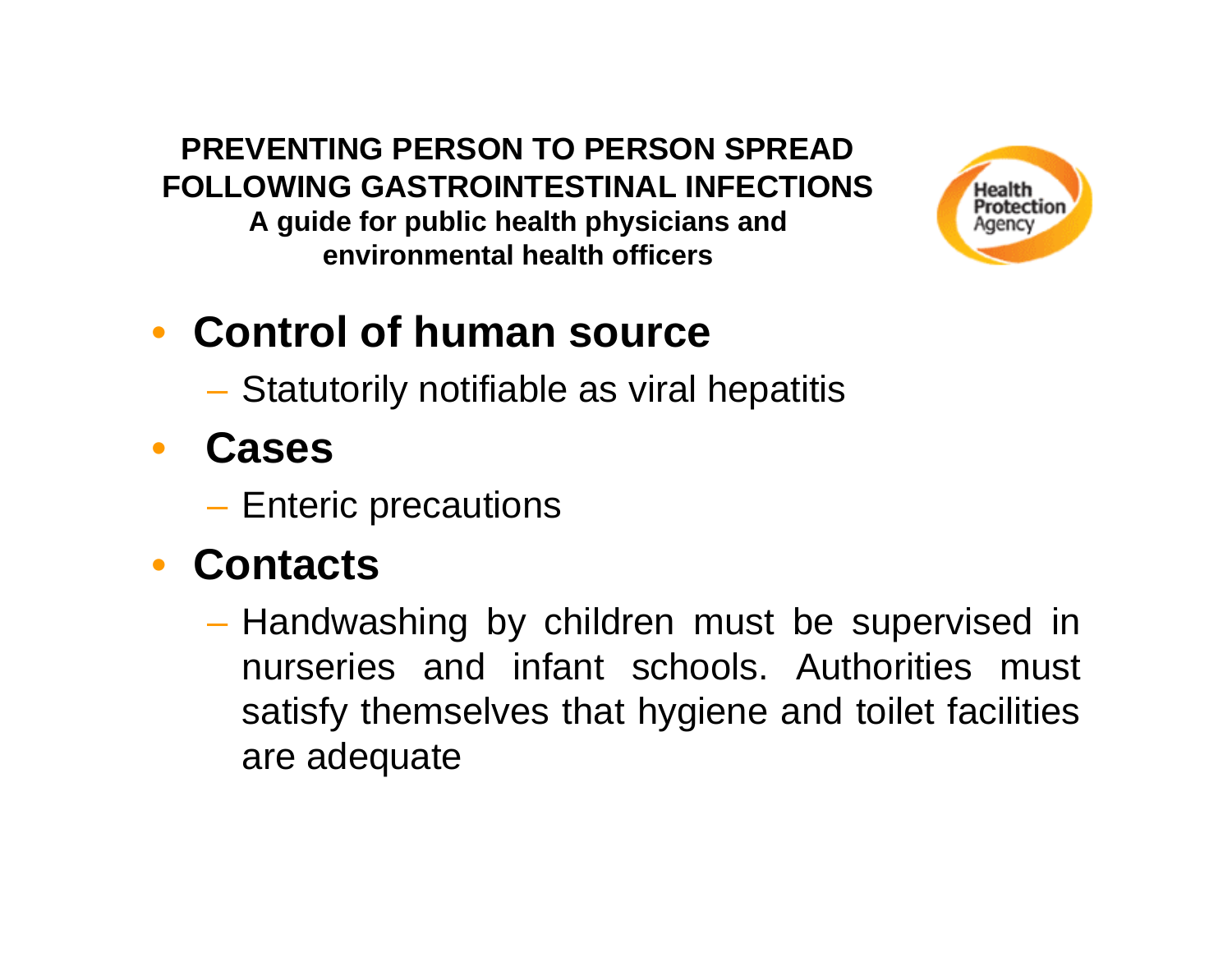#### **PREVENTING PERSON TO PERSON SPREAD FOLLOWING GASTROINTESTINAL INFECTIONS**

**A guide for public health physicians and environmental health officers**



#### • **Control of human source**

**Hart Committee** Statutorily notifiable as viral hepatitis

#### • **Cases**

–– Enteric precautions

#### • **Contacts**

– Handwashing by children must be supervised in nurseries and infant schools. Authorities must satisfy themselves that hygiene and toilet facilities are adequate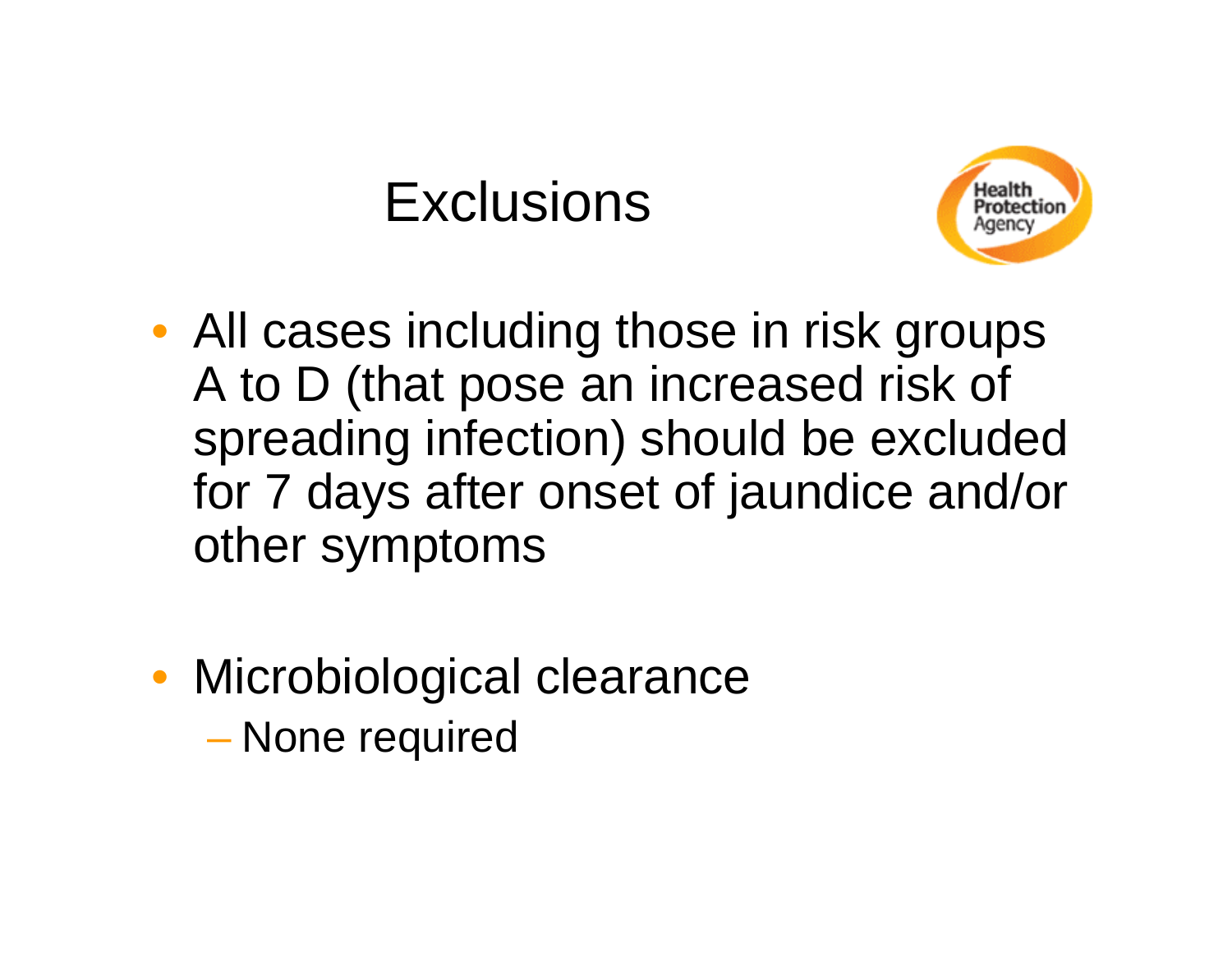#### **Exclusions**



- All cases including those in risk groups A to D (that pose an increased risk of spreading infection) should be excluded for 7 days after onset of jaundice and/or other symptoms
- Microbiological clearance None required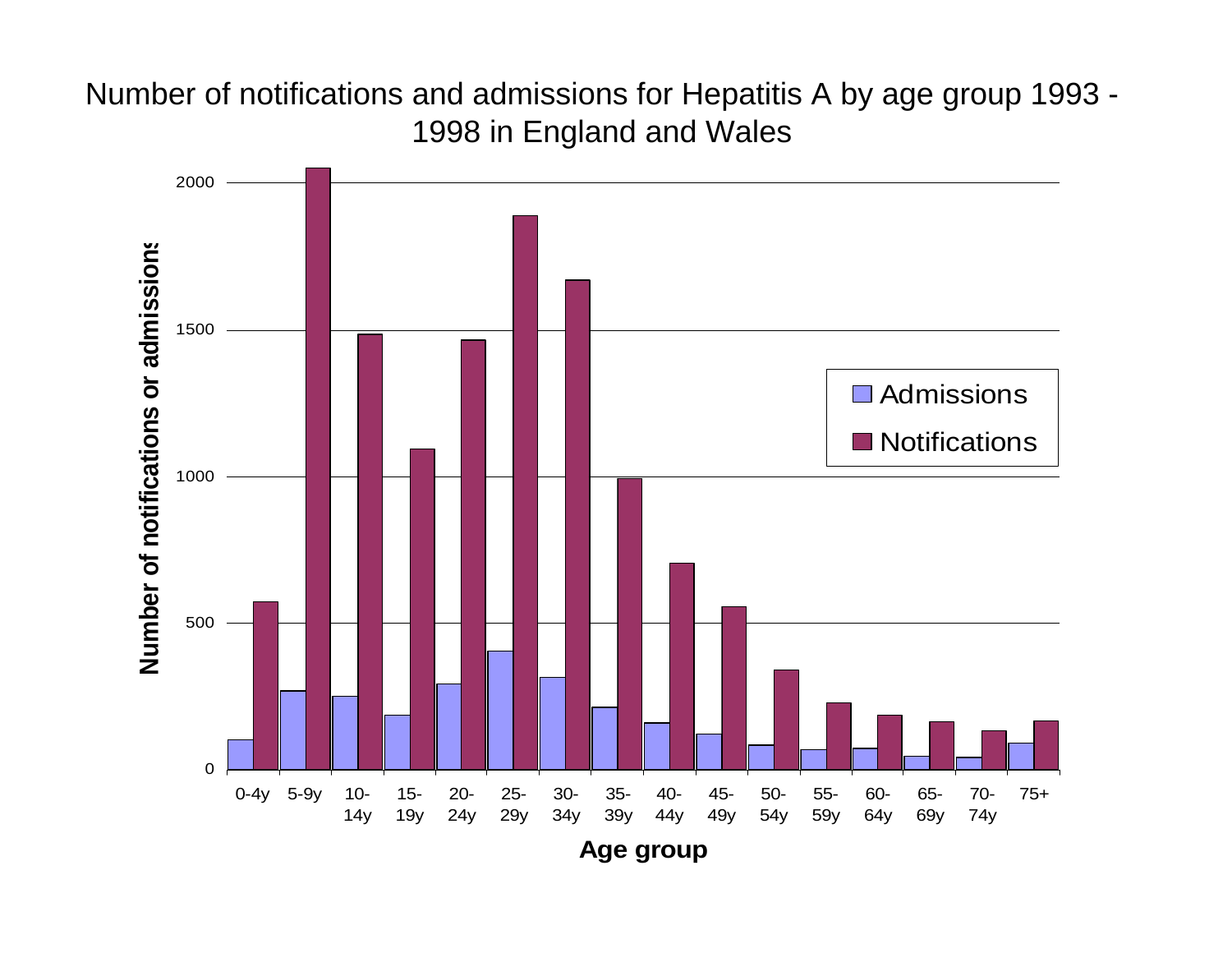#### Number of notifications and admissions for Hepatitis A by age group 1993 - 1998 in England and Wales



**A g e group**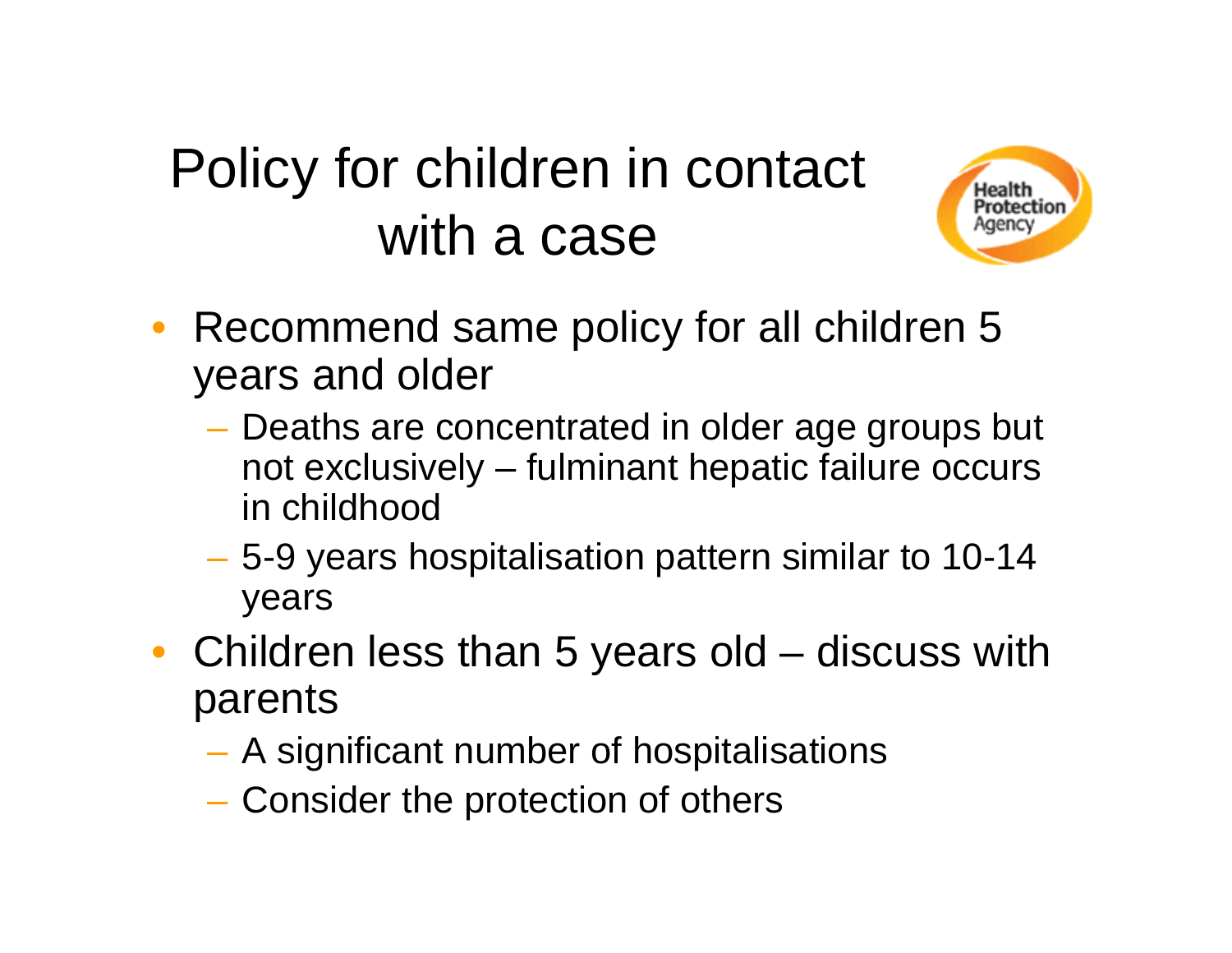## Policy for children in contact with a case



- Recommend same policy for all children 5 years and older
	- Deaths are concentrated in older age groups but not exclusively – fulminant hepatic failure occurs in childhood
	- – 5-9 years hospitalisation pattern similar to 10-14 years
- Children less than 5 years old discuss with parents
	- A significant number of hospitalisations
	- Consider the protection of others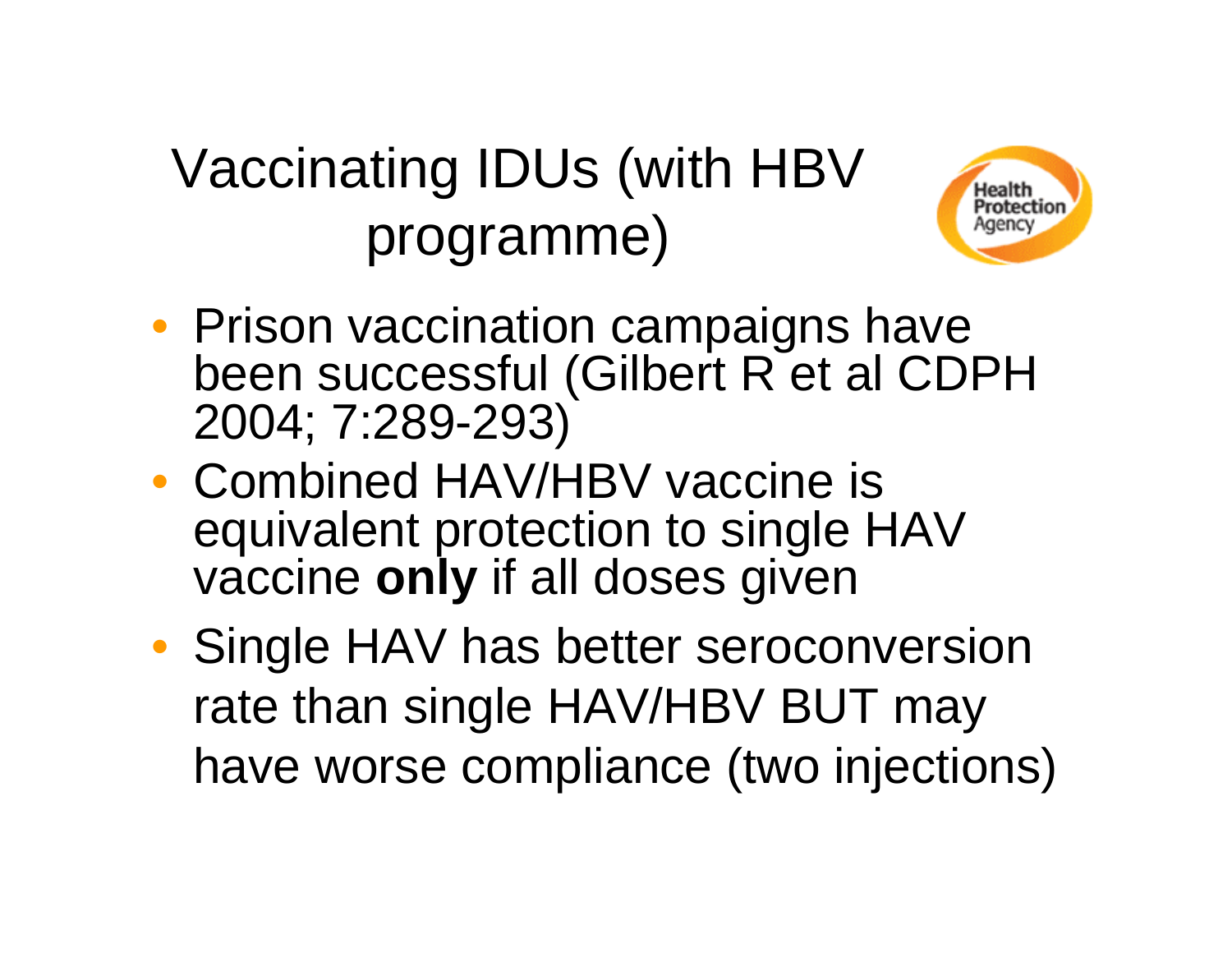# Vaccinating IDUs (with HBV programme)



- Prison vaccination campaigns have been successful (Gilbert R et al CDPH 2004; 7:289-293)
- Combined HAV/HBV vaccine is equivalent protection to single HAV vaccine **only** if all doses given
- Single HAV has better seroconversion rate than single HAV/HBV BUT may have worse compliance (two injections)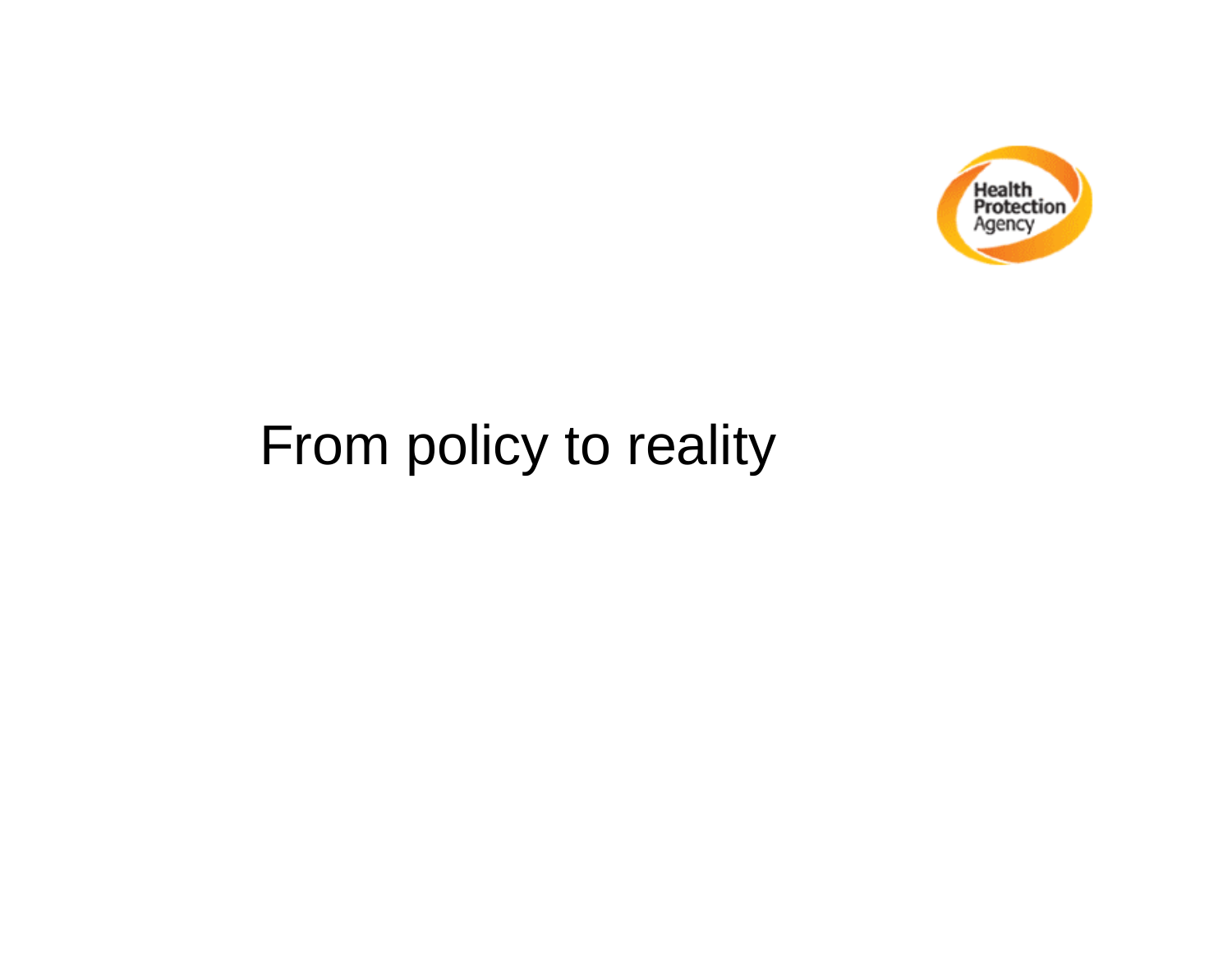

## From policy to reality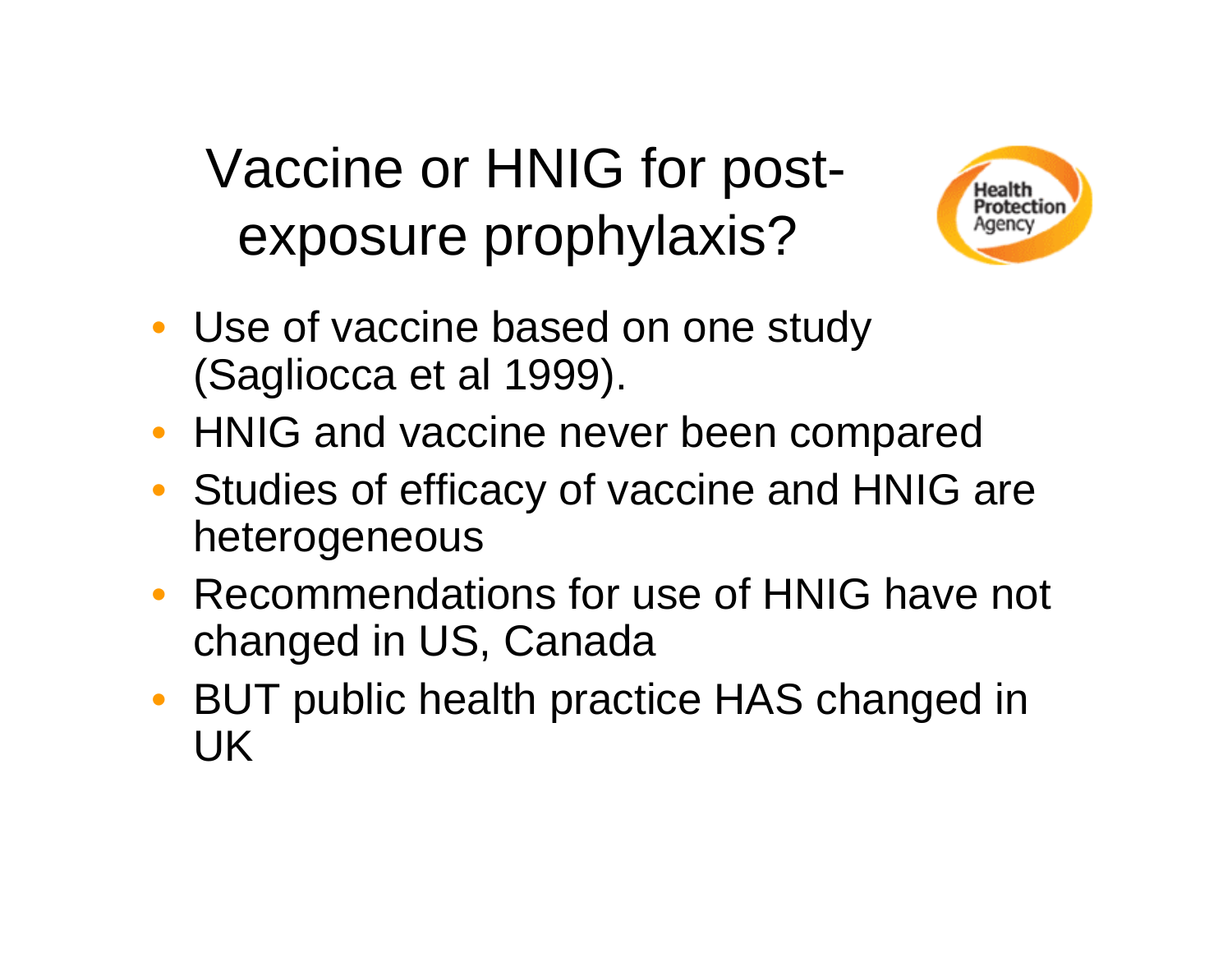Vaccine or HNIG for postexposure prophylaxis?



- Use of vaccine based on one study (Sagliocca et al 1999).
- HNIG and vaccine never been compared
- Studies of efficacy of vaccine and HNIG are heterogeneous
- Recommendations for use of HNIG have not changed in US, Canada
- BUT public health practice HAS changed in UK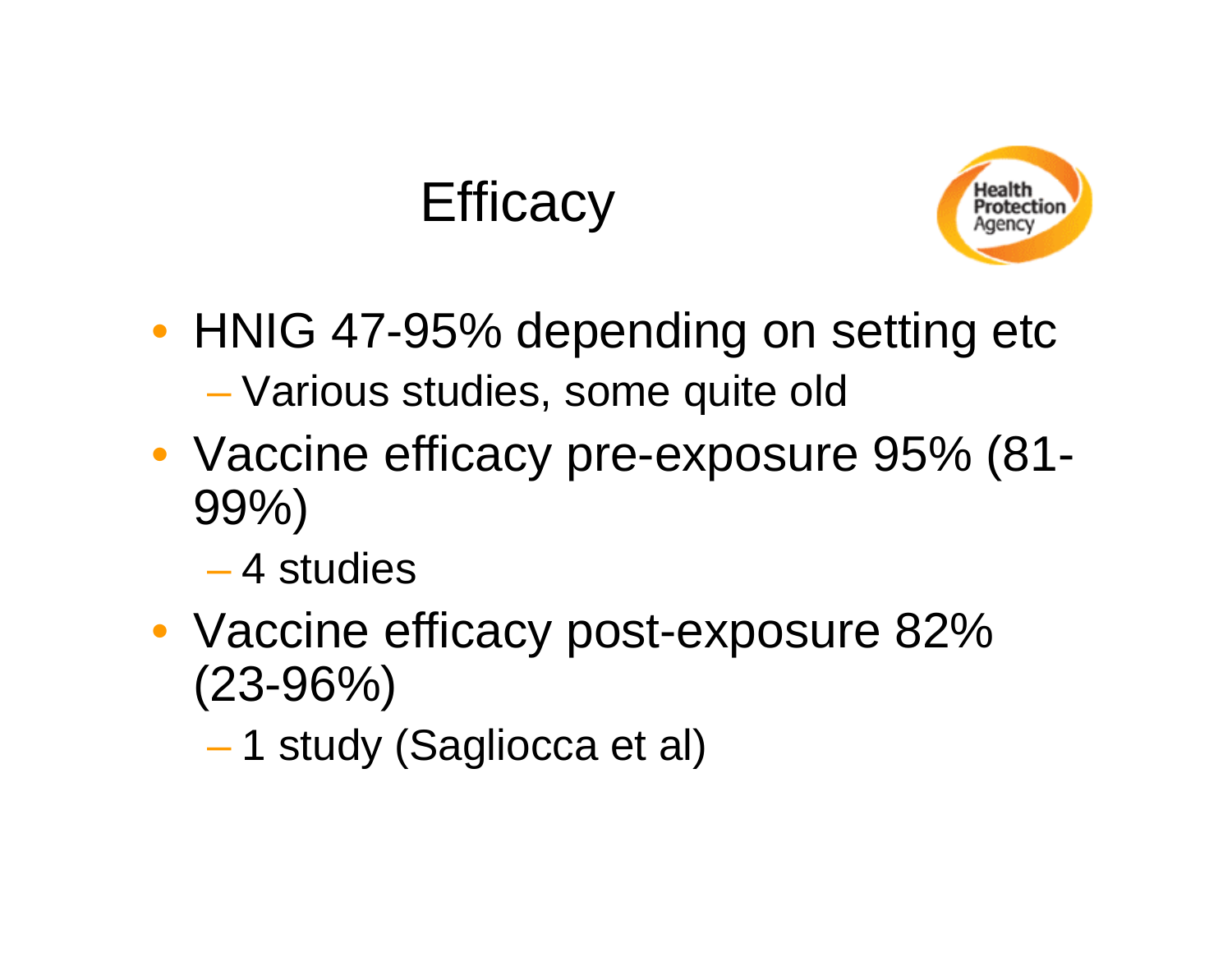#### **Efficacy**



- HNIG 47-95% depending on setting etc Various studies, some quite old
- Vaccine efficacy pre-exposure 95% (81- 99%)
	- 4 studies
- Vaccine efficacy post-exposure 82% (23-96%)
	- 1 study (Sagliocca et al)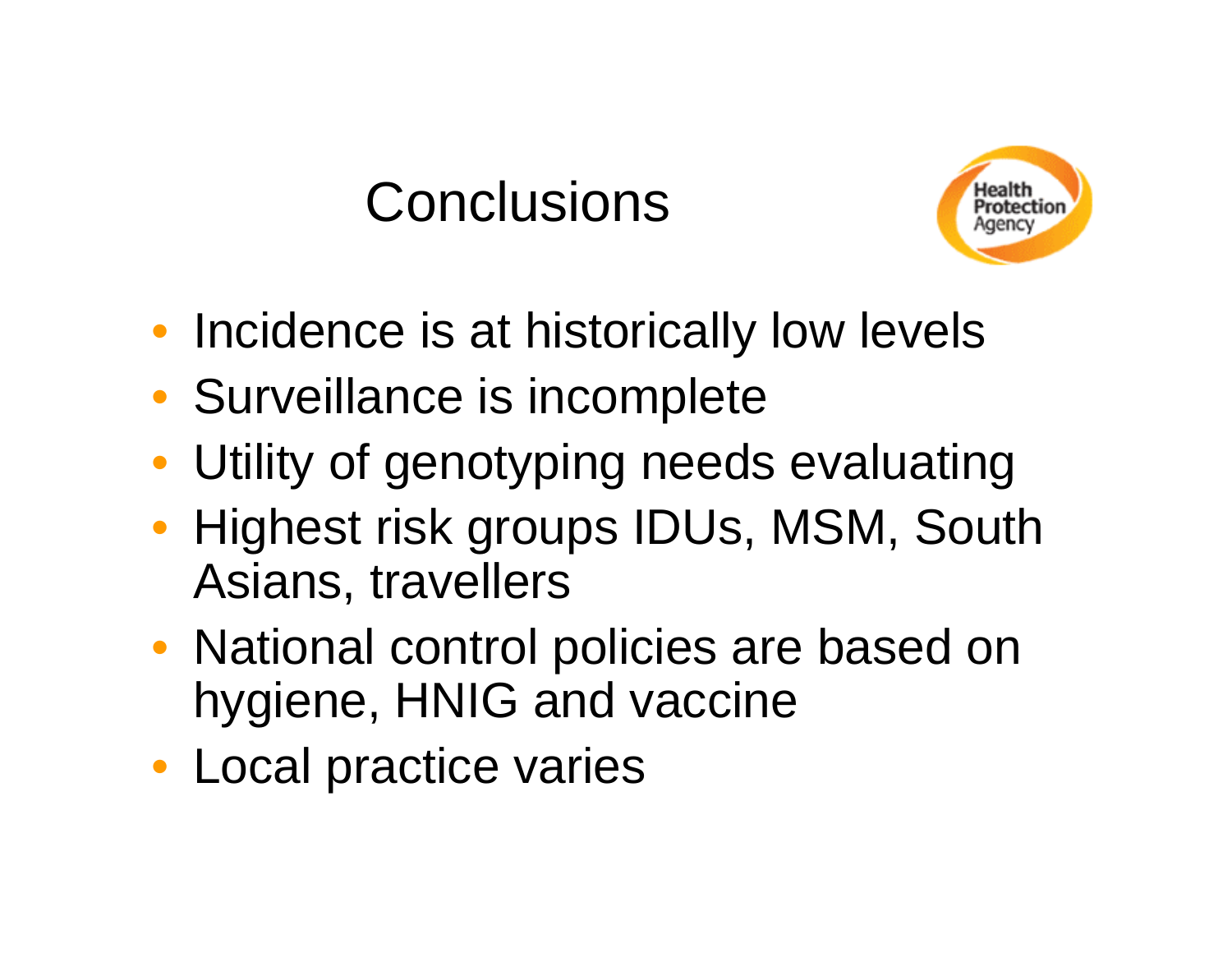#### **Conclusions**



- Incidence is at historically low levels
- Surveillance is incomplete
- Utility of genotyping needs evaluating
- Highest risk groups IDUs, MSM, South Asians, travellers
- National control policies are based on hygiene, HNIG and vaccine
- Local practice varies